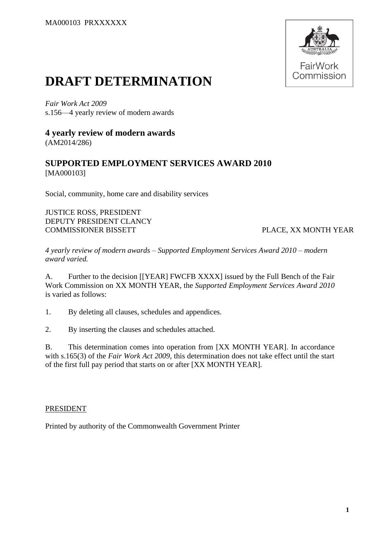

# **DRAFT DETERMINATION**

*Fair Work Act 2009*  s.156—4 yearly review of modern awards

## **4 yearly review of modern awards** (AM2014/286)

## **SUPPORTED EMPLOYMENT SERVICES AWARD 2010** [MA000103]

Social, community, home care and disability services

JUSTICE ROSS, PRESIDENT DEPUTY PRESIDENT CLANCY COMMISSIONER BISSETT PLACE, XX MONTH YEAR

*4 yearly review of modern awards – Supported Employment Services Award 2010 – modern award varied.*

A. Further to the decision [[YEAR] FWCFB XXXX] issued by the Full Bench of the Fair Work Commission on XX MONTH YEAR, the *Supported Employment Services Award 2010* is varied as follows:

1. By deleting all clauses, schedules and appendices.

2. By inserting the clauses and schedules attached.

B. This determination comes into operation from [XX MONTH YEAR]. In accordance with s.165(3) of the *Fair Work Act 2009*, this determination does not take effect until the start of the first full pay period that starts on or after [XX MONTH YEAR].

## PRESIDENT

Printed by authority of the Commonwealth Government Printer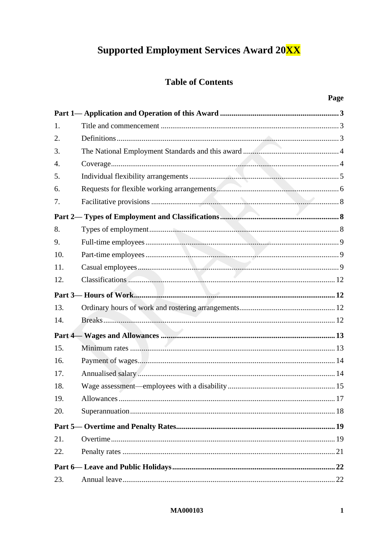# **Supported Employment Services Award 20XX**

## **Table of Contents**

| 1.               |  |
|------------------|--|
| 2.               |  |
| 3.               |  |
| $\overline{4}$ . |  |
| 5.               |  |
| 6.               |  |
| 7.               |  |
|                  |  |
| 8.               |  |
| 9.               |  |
| 10.              |  |
| 11.              |  |
| 12.              |  |
|                  |  |
| 13.              |  |
| 14.              |  |
|                  |  |
| 15.              |  |
| 16.              |  |
| 17.              |  |
| 18.              |  |
| 19.              |  |
| 20.              |  |
|                  |  |
| 21.              |  |
| 22.              |  |
|                  |  |
| 23.              |  |

#### **MA000103**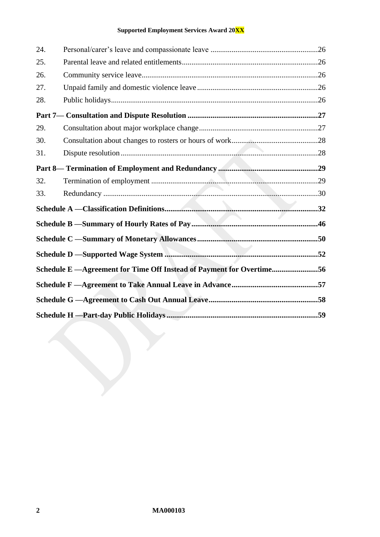## **Supported Employment Services Award 20XX**

| 24. |                                                                       |  |
|-----|-----------------------------------------------------------------------|--|
| 25. |                                                                       |  |
| 26. |                                                                       |  |
| 27. |                                                                       |  |
| 28. |                                                                       |  |
|     |                                                                       |  |
| 29. |                                                                       |  |
| 30. |                                                                       |  |
| 31. |                                                                       |  |
|     |                                                                       |  |
| 32. |                                                                       |  |
| 33. |                                                                       |  |
|     |                                                                       |  |
|     |                                                                       |  |
|     |                                                                       |  |
|     |                                                                       |  |
|     | Schedule E - Agreement for Time Off Instead of Payment for Overtime56 |  |
|     |                                                                       |  |
|     |                                                                       |  |
|     |                                                                       |  |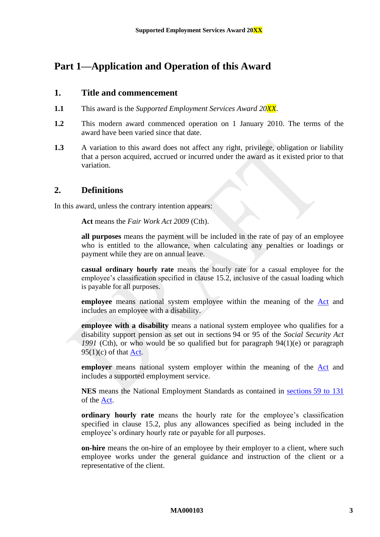## <span id="page-3-1"></span><span id="page-3-0"></span>**Part 1—Application and Operation of this Award**

## **1. Title and commencement**

- **1.1** This award is the *Supported Employment Services Award 20XX*.
- **1.2** This modern award commenced operation on 1 January 2010. The terms of the award have been varied since that date.
- **1.3** A variation to this award does not affect any right, privilege, obligation or liability that a person acquired, accrued or incurred under the award as it existed prior to that variation.

## <span id="page-3-2"></span>**2. Definitions**

In this award, unless the contrary intention appears:

**Act** means the *Fair Work Act 2009* (Cth).

**all purposes** means the payment will be included in the rate of pay of an employee who is entitled to the allowance, when calculating any penalties or loadings or payment while they are on annual leave.

**casual ordinary hourly rate** means the hourly rate for a casual employee for the employee's classification specified in clause [15.2](#page-13-2), inclusive of the casual loading which is payable for all purposes.

**employee** means national system employee within the meaning of the [Act](http://www.legislation.gov.au/Series/C2009A00028) and includes an employee with a disability.

**employee with a disability** means a national system employee who qualifies for a disability support pension as set out in sections 94 or 95 of the *Social Security Act 1991* (Cth), or who would be so qualified but for paragraph 94(1)(e) or paragraph  $95(1)(c)$  of that [Act.](http://www.legislation.gov.au/Series/C2009A00028)

**employer** means national system employer within the meaning of the [Act](http://www.legislation.gov.au/Series/C2009A00028) and includes a supported employment service.

**NES** means the National Employment Standards as contained in sections [59 to 131](http://www.fwc.gov.au/awardmod/download/nes.pdf) of the [Act.](http://www.legislation.gov.au/Series/C2009A00028)

**ordinary hourly rate** means the hourly rate for the employee's classification specified in clause [15.2,](#page-13-2) plus any allowances specified as being included in the employee's ordinary hourly rate or payable for all purposes.

**on-hire** means the on-hire of an employee by their employer to a client, where such employee works under the general guidance and instruction of the client or a representative of the client.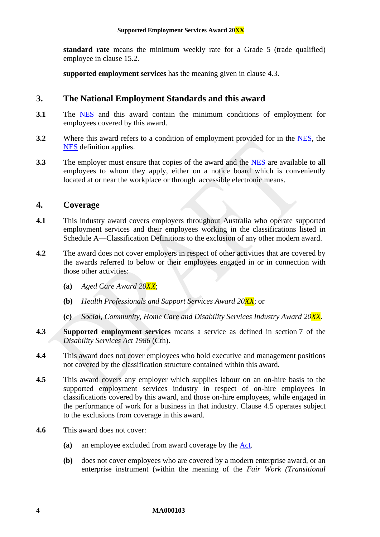<span id="page-4-4"></span>**standard rate** means the minimum weekly rate for a Grade 5 (trade qualified) employee in clause [15.2.](#page-13-2)

**supported employment services** has the meaning given in clause [4.3.](#page-4-2)

## <span id="page-4-0"></span>**3. The National Employment Standards and this award**

- **3.1** The [NES](https://www.fwc.gov.au/documents/awardmod/download/nes.pdf) and this award contain the minimum conditions of employment for employees covered by this award.
- **3.2** Where this award refers to a condition of employment provided for in the [NES,](https://www.fwc.gov.au/documents/awardmod/download/nes.pdf) the [NES](https://www.fwc.gov.au/documents/awardmod/download/nes.pdf) definition applies.
- **3.3** The employer must ensure that copies of the award and the [NES](https://www.fwc.gov.au/documents/awardmod/download/nes.pdf) are available to all employees to whom they apply, either on a notice board which is conveniently located at or near the workplace or through accessible electronic means.

#### <span id="page-4-1"></span>**4. Coverage**

- **4.1** This industry award covers employers throughout Australia who operate supported employment services and their employees working in the classifications listed in [Schedule A](#page-32-1)[—Classification Definitions](#page-32-0) to the exclusion of any other modern award.
- **4.2** The award does not cover employers in respect of other activities that are covered by the awards referred to below or their employees engaged in or in connection with those other activities:
	- **(a)** *Aged Care Award 20XX*;
	- **(b)** *Health Professionals and Support Services Award 20XX*; or
	- **(c)** *Social, Community, Home Care and Disability Services Industry Award 20XX*.
- <span id="page-4-2"></span>**4.3 Supported employment services** means a service as defined in section 7 of the *Disability Services Act 1986* (Cth).
- **4.4** This award does not cover employees who hold executive and management positions not covered by the classification structure contained within this award.
- <span id="page-4-3"></span>**4.5** This award covers any employer which supplies labour on an on-hire basis to the supported employment services industry in respect of on-hire employees in classifications covered by this award, and those on-hire employees, while engaged in the performance of work for a business in that industry. Clause [4.5](#page-4-3) operates subject to the exclusions from coverage in this award.
- **4.6** This award does not cover:
	- **(a)** an employee excluded from award coverage by the [Act.](http://www.legislation.gov.au/Series/C2009A00028)
	- **(b)** does not cover employees who are covered by a modern enterprise award, or an enterprise instrument (within the meaning of the *Fair Work (Transitional*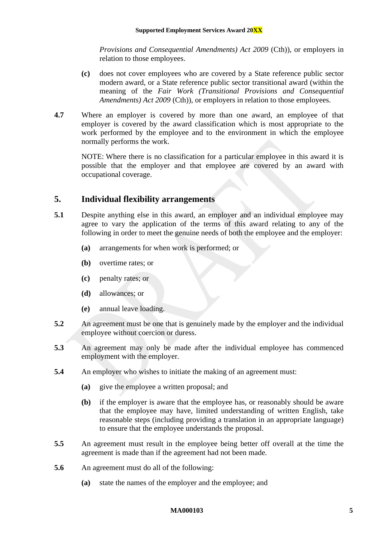*Provisions and Consequential Amendments) Act 2009 (Cth)), or employers in* relation to those employees.

- **(c)** does not cover employees who are covered by a State reference public sector modern award, or a State reference public sector transitional award (within the meaning of the *Fair Work (Transitional Provisions and Consequential Amendments) Act 2009* (Cth)), or employers in relation to those employees.
- **4.7** Where an employer is covered by more than one award, an employee of that employer is covered by the award classification which is most appropriate to the work performed by the employee and to the environment in which the employee normally performs the work.

NOTE: Where there is no classification for a particular employee in this award it is possible that the employer and that employee are covered by an award with occupational coverage.

## <span id="page-5-0"></span>**5. Individual flexibility arrangements**

- **5.1** Despite anything else in this award, an employer and an individual employee may agree to vary the application of the terms of this award relating to any of the following in order to meet the genuine needs of both the employee and the employer:
	- **(a)** arrangements for when work is performed; or
	- **(b)** overtime rates; or
	- **(c)** penalty rates; or
	- **(d)** allowances; or
	- **(e)** annual leave loading.
- **5.2** An agreement must be one that is genuinely made by the employer and the individual employee without coercion or duress.
- **5.3** An agreement may only be made after the individual employee has commenced employment with the employer.
- **5.4** An employer who wishes to initiate the making of an agreement must:
	- **(a)** give the employee a written proposal; and
	- **(b)** if the employer is aware that the employee has, or reasonably should be aware that the employee may have, limited understanding of written English, take reasonable steps (including providing a translation in an appropriate language) to ensure that the employee understands the proposal.
- **5.5** An agreement must result in the employee being better off overall at the time the agreement is made than if the agreement had not been made.
- **5.6** An agreement must do all of the following:
	- **(a)** state the names of the employer and the employee; and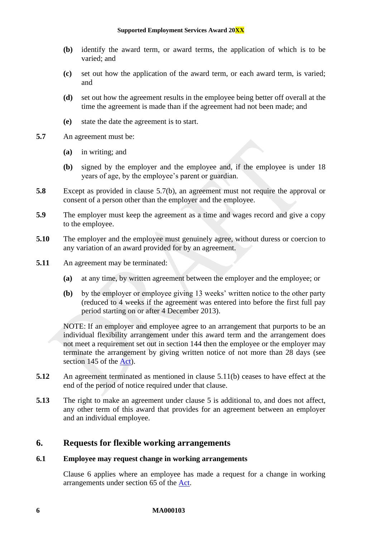- **(b)** identify the award term, or award terms, the application of which is to be varied; and
- **(c)** set out how the application of the award term, or each award term, is varied; and
- **(d)** set out how the agreement results in the employee being better off overall at the time the agreement is made than if the agreement had not been made; and
- **(e)** state the date the agreement is to start.
- <span id="page-6-1"></span>**5.7** An agreement must be:
	- **(a)** in writing; and
	- **(b)** signed by the employer and the employee and, if the employee is under 18 years of age, by the employee's parent or guardian.
- **5.8** Except as provided in clause [5.7\(b\),](#page-6-1) an agreement must not require the approval or consent of a person other than the employer and the employee.
- **5.9** The employer must keep the agreement as a time and wages record and give a copy to the employee.
- **5.10** The employer and the employee must genuinely agree, without duress or coercion to any variation of an award provided for by an agreement.
- <span id="page-6-2"></span>**5.11** An agreement may be terminated:
	- **(a)** at any time, by written agreement between the employer and the employee; or
	- **(b)** by the employer or employee giving 13 weeks' written notice to the other party (reduced to 4 weeks if the agreement was entered into before the first full pay period starting on or after 4 December 2013).

NOTE: If an employer and employee agree to an arrangement that purports to be an individual flexibility arrangement under this award term and the arrangement does not meet a requirement set out in section 144 then the employee or the employer may terminate the arrangement by giving written notice of not more than 28 days (see section 145 of the [Act\)](http://www.legislation.gov.au/Series/C2009A00028).

- **5.12** An agreement terminated as mentioned in clause [5.11\(b\)](#page-6-2) ceases to have effect at the end of the period of notice required under that clause.
- **5.13** The right to make an agreement under clause [5](#page-5-0) is additional to, and does not affect, any other term of this award that provides for an agreement between an employer and an individual employee.

## <span id="page-6-0"></span>**6. Requests for flexible working arrangements**

#### **6.1 Employee may request change in working arrangements**

Clause [6](#page-6-0) applies where an employee has made a request for a change in working arrangements under section 65 of the [Act.](http://www.legislation.gov.au/Series/C2009A00028)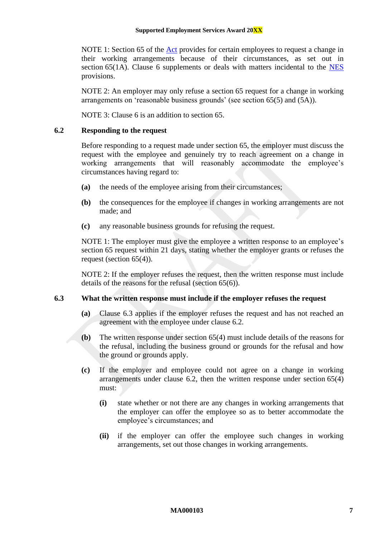NOTE 1: Section 65 of the [Act](http://www.legislation.gov.au/Series/C2009A00028) provides for certain employees to request a change in their working arrangements because of their circumstances, as set out in section [6](#page-6-0)5(1A). Clause 6 supplements or deals with matters incidental to the [NES](https://www.fwc.gov.au/documents/awardmod/download/nes.pdf) provisions.

NOTE 2: An employer may only refuse a section 65 request for a change in working arrangements on 'reasonable business grounds' (see section 65(5) and (5A)).

NOTE 3: Clause [6](#page-6-0) is an addition to section 65.

#### <span id="page-7-1"></span>**6.2 Responding to the request**

Before responding to a request made under section 65, the employer must discuss the request with the employee and genuinely try to reach agreement on a change in working arrangements that will reasonably accommodate the employee's circumstances having regard to:

- **(a)** the needs of the employee arising from their circumstances;
- **(b)** the consequences for the employee if changes in working arrangements are not made; and
- **(c)** any reasonable business grounds for refusing the request.

NOTE 1: The employer must give the employee a written response to an employee's section 65 request within 21 days, stating whether the employer grants or refuses the request (section 65(4)).

NOTE 2: If the employer refuses the request, then the written response must include details of the reasons for the refusal (section 65(6)).

#### <span id="page-7-0"></span>**6.3 What the written response must include if the employer refuses the request**

- **(a)** Clause [6.3](#page-7-0) applies if the employer refuses the request and has not reached an agreement with the employee under clause [6.2.](#page-7-1)
- **(b)** The written response under section 65(4) must include details of the reasons for the refusal, including the business ground or grounds for the refusal and how the ground or grounds apply.
- **(c)** If the employer and employee could not agree on a change in working arrangements under clause [6.2,](#page-7-1) then the written response under section 65(4) must:
	- **(i)** state whether or not there are any changes in working arrangements that the employer can offer the employee so as to better accommodate the employee's circumstances; and
	- **(ii)** if the employer can offer the employee such changes in working arrangements, set out those changes in working arrangements.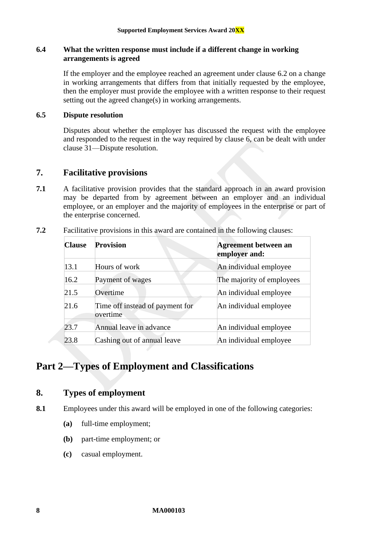#### **6.4 What the written response must include if a different change in working arrangements is agreed**

If the employer and the employee reached an agreement under clause [6.2](#page-7-1) on a change in working arrangements that differs from that initially requested by the employee, then the employer must provide the employee with a written response to their request setting out the agreed change(s) in working arrangements.

#### **6.5 Dispute resolution**

Disputes about whether the employer has discussed the request with the employee and responded to the request in the way required by clause [6,](#page-6-0) can be dealt with under clause [31—Dispute resolution.](#page-28-1)

## <span id="page-8-0"></span>**7. Facilitative provisions**

**7.1** A facilitative provision provides that the standard approach in an award provision may be departed from by agreement between an employer and an individual employee, or an employer and the majority of employees in the enterprise or part of the enterprise concerned.

| <b>Clause</b> | <b>Provision</b>                            | <b>Agreement between an</b><br>employer and: |
|---------------|---------------------------------------------|----------------------------------------------|
| 13.1          | Hours of work                               | An individual employee                       |
| 16.2          | Payment of wages                            | The majority of employees                    |
| 21.5          | Overtime                                    | An individual employee                       |
| 21.6          | Time off instead of payment for<br>overtime | An individual employee                       |
| 23.7          | Annual leave in advance                     | An individual employee                       |
| 23.8          | Cashing out of annual leave                 | An individual employee                       |

**7.2** Facilitative provisions in this award are contained in the following clauses:

## <span id="page-8-2"></span><span id="page-8-1"></span>**Part 2—Types of Employment and Classifications**

## **8. Types of employment**

**8.1** Employees under this award will be employed in one of the following categories:

- **(a)** full-time employment;
- **(b)** part-time employment; or
- **(c)** casual employment.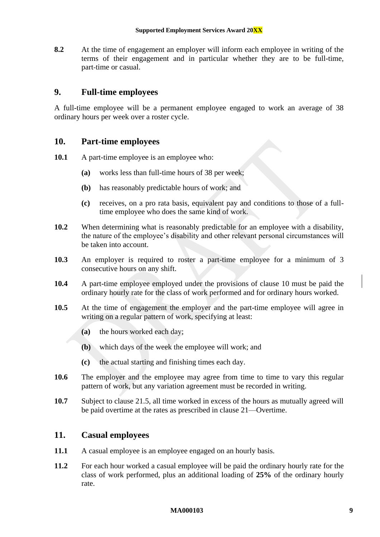**8.2** At the time of engagement an employer will inform each employee in writing of the terms of their engagement and in particular whether they are to be full-time, part-time or casual.

## <span id="page-9-0"></span>**9. Full-time employees**

A full-time employee will be a permanent employee engaged to work an average of 38 ordinary hours per week over a roster cycle.

## <span id="page-9-1"></span>**10. Part-time employees**

- **10.1** A part-time employee is an employee who:
	- **(a)** works less than full-time hours of 38 per week;
	- **(b)** has reasonably predictable hours of work; and
	- **(c)** receives, on a pro rata basis, equivalent pay and conditions to those of a fulltime employee who does the same kind of work.
- **10.2** When determining what is reasonably predictable for an employee with a disability, the nature of the employee's disability and other relevant personal circumstances will be taken into account.
- **10.3** An employer is required to roster a part-time employee for a minimum of 3 consecutive hours on any shift.
- **10.4** A part-time employee employed under the provisions of clause [10](#page-9-1) must be paid the ordinary hourly rate for the class of work performed and for ordinary hours worked.
- <span id="page-9-3"></span>**10.5** At the time of engagement the employer and the part-time employee will agree in writing on a regular pattern of work, specifying at least:
	- **(a)** the hours worked each day;
	- **(b)** which days of the week the employee will work; and
	- **(c)** the actual starting and finishing times each day.
- <span id="page-9-4"></span>**10.6** The employer and the employee may agree from time to time to vary this regular pattern of work, but any variation agreement must be recorded in writing.
- **10.7** Subject to clause [21.5,](#page-20-0) all time worked in excess of the hours as mutually agreed will be paid overtime at the rates as prescribed in clause [21—Overtime.](#page-19-1)

## <span id="page-9-2"></span>**11. Casual employees**

- **11.1** A casual employee is an employee engaged on an hourly basis.
- **11.2** For each hour worked a casual employee will be paid the ordinary hourly rate for the class of work performed, plus an additional loading of **25%** of the ordinary hourly rate.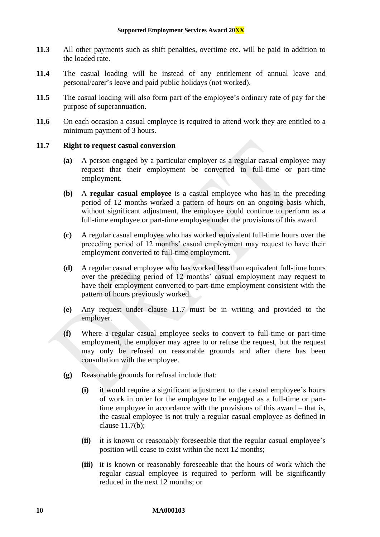- **11.3** All other payments such as shift penalties, overtime etc. will be paid in addition to the loaded rate.
- **11.4** The casual loading will be instead of any entitlement of annual leave and personal/carer's leave and paid public holidays (not worked).
- **11.5** The casual loading will also form part of the employee's ordinary rate of pay for the purpose of superannuation.
- 11.6 On each occasion a casual employee is required to attend work they are entitled to a minimum payment of 3 hours.

#### <span id="page-10-0"></span>**11.7 Right to request casual conversion**

- **(a)** A person engaged by a particular employer as a regular casual employee may request that their employment be converted to full-time or part-time employment.
- <span id="page-10-1"></span>**(b)** A **regular casual employee** is a casual employee who has in the preceding period of 12 months worked a pattern of hours on an ongoing basis which, without significant adjustment, the employee could continue to perform as a full-time employee or part-time employee under the provisions of this award.
- **(c)** A regular casual employee who has worked equivalent full-time hours over the preceding period of 12 months' casual employment may request to have their employment converted to full-time employment.
- **(d)** A regular casual employee who has worked less than equivalent full-time hours over the preceding period of 12 months' casual employment may request to have their employment converted to part-time employment consistent with the pattern of hours previously worked.
- **(e)** Any request under clause [11.7](#page-10-0) must be in writing and provided to the employer.
- **(f)** Where a regular casual employee seeks to convert to full-time or part-time employment, the employer may agree to or refuse the request, but the request may only be refused on reasonable grounds and after there has been consultation with the employee.
- **(g)** Reasonable grounds for refusal include that:
	- **(i)** it would require a significant adjustment to the casual employee's hours of work in order for the employee to be engaged as a full-time or parttime employee in accordance with the provisions of this award – that is, the casual employee is not truly a regular casual employee as defined in clause [11.7\(b\);](#page-10-1)
	- **(ii)** it is known or reasonably foreseeable that the regular casual employee's position will cease to exist within the next 12 months;
	- **(iii)** it is known or reasonably foreseeable that the hours of work which the regular casual employee is required to perform will be significantly reduced in the next 12 months; or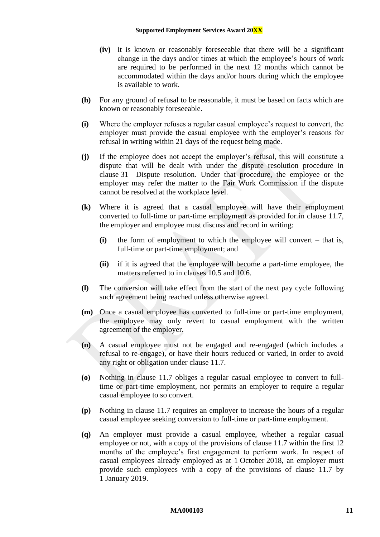#### **Supported Employment Services Award 20XX**

- **(iv)** it is known or reasonably foreseeable that there will be a significant change in the days and/or times at which the employee's hours of work are required to be performed in the next 12 months which cannot be accommodated within the days and/or hours during which the employee is available to work.
- **(h)** For any ground of refusal to be reasonable, it must be based on facts which are known or reasonably foreseeable.
- **(i)** Where the employer refuses a regular casual employee's request to convert, the employer must provide the casual employee with the employer's reasons for refusal in writing within 21 days of the request being made.
- **(j)** If the employee does not accept the employer's refusal, this will constitute a dispute that will be dealt with under the dispute resolution procedure in clause [31](#page-28-1)—[Dispute resolution.](#page-28-1) Under that procedure, the employee or the employer may refer the matter to the Fair Work Commission if the dispute cannot be resolved at the workplace level.
- **(k)** Where it is agreed that a casual employee will have their employment converted to full-time or part-time employment as provided for in clause [11.7,](#page-10-0) the employer and employee must discuss and record in writing:
	- **(i)** the form of employment to which the employee will convert that is, full-time or part-time employment; and
	- **(ii)** if it is agreed that the employee will become a part-time employee, the matters referred to in clauses [10.5](#page-9-3) and [10.6.](#page-9-4)
- **(l)** The conversion will take effect from the start of the next pay cycle following such agreement being reached unless otherwise agreed.
- **(m)** Once a casual employee has converted to full-time or part-time employment, the employee may only revert to casual employment with the written agreement of the employer.
- **(n)** A casual employee must not be engaged and re-engaged (which includes a refusal to re-engage), or have their hours reduced or varied, in order to avoid any right or obligation under clause [11.7.](#page-10-0)
- **(o)** Nothing in clause [11.7](#page-10-0) obliges a regular casual employee to convert to fulltime or part-time employment, nor permits an employer to require a regular casual employee to so convert.
- **(p)** Nothing in clause [11.7](#page-10-0) requires an employer to increase the hours of a regular casual employee seeking conversion to full-time or part-time employment.
- <span id="page-11-0"></span>**(q)** An employer must provide a casual employee, whether a regular casual employee or not, with a copy of the provisions of clause [11.7](#page-10-0) within the first 12 months of the employee's first engagement to perform work. In respect of casual employees already employed as at 1 October 2018, an employer must provide such employees with a copy of the provisions of clause [11.7](#page-10-0) by 1 January 2019.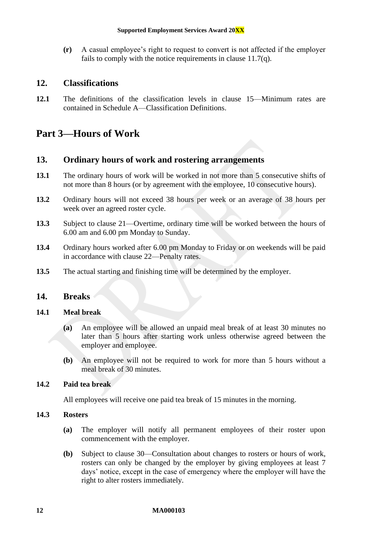**(r)** A casual employee's right to request to convert is not affected if the employer fails to comply with the notice requirements in clause [11.7\(q\).](#page-11-0)

## <span id="page-12-0"></span>**12. Classifications**

**12.1** The definitions of the classification levels in clause [15—Minimum rates](#page-13-1) are contained in [Schedule A](#page-32-1)[—Classification Definitions.](#page-32-0)

## <span id="page-12-2"></span><span id="page-12-1"></span>**Part 3—Hours of Work**

## **13. Ordinary hours of work and rostering arrangements**

- <span id="page-12-4"></span>**13.1** The ordinary hours of work will be worked in not more than 5 consecutive shifts of not more than 8 hours (or by agreement with the employee, 10 consecutive hours).
- **13.2** Ordinary hours will not exceed 38 hours per week or an average of 38 hours per week over an agreed roster cycle.
- **13.3** Subject to clause [21—Overtime,](#page-19-1) ordinary time will be worked between the hours of 6.00 am and 6.00 pm Monday to Sunday.
- **13.4** Ordinary hours worked after 6.00 pm Monday to Friday or on weekends will be paid in accordance with clause [22—Penalty rates.](#page-21-0)
- <span id="page-12-3"></span>**13.5** The actual starting and finishing time will be determined by the employer.

## **14. Breaks**

#### **14.1 Meal break**

- **(a)** An employee will be allowed an unpaid meal break of at least 30 minutes no later than 5 hours after starting work unless otherwise agreed between the employer and employee.
- **(b)** An employee will not be required to work for more than 5 hours without a meal break of 30 minutes.

#### **14.2 Paid tea break**

All employees will receive one paid tea break of 15 minutes in the morning.

#### **14.3 Rosters**

- **(a)** The employer will notify all permanent employees of their roster upon commencement with the employer.
- **(b)** Subject to clause [30—Consultation about changes to rosters or hours of work,](#page-28-0) rosters can only be changed by the employer by giving employees at least 7 days' notice, except in the case of emergency where the employer will have the right to alter rosters immediately.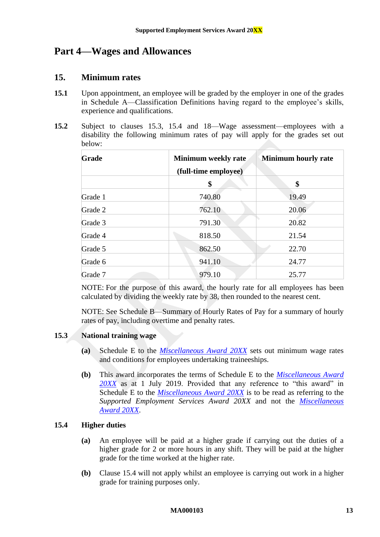## <span id="page-13-1"></span><span id="page-13-0"></span>**Part 4—Wages and Allowances**

## **15. Minimum rates**

- **15.1** Upon appointment, an employee will be graded by the employer in one of the grades in [Schedule A](#page-32-1)[—Classification Definitions](#page-32-0) having regard to the employee's skills, experience and qualifications.
- <span id="page-13-2"></span>**15.2** Subject to clauses [15.3,](#page-13-3) [15.4](#page-13-4) and [18—Wage assessment—employees with a](#page-15-0)  [disability](#page-15-0) the following minimum rates of pay will apply for the grades set out below:

| Grade   | <b>Minimum weekly rate</b><br>(full-time employee) | <b>Minimum hourly rate</b> |  |
|---------|----------------------------------------------------|----------------------------|--|
|         | \$                                                 | \$                         |  |
| Grade 1 | 740.80                                             | 19.49                      |  |
| Grade 2 | 762.10                                             | 20.06                      |  |
| Grade 3 | 791.30                                             | 20.82                      |  |
| Grade 4 | 818.50                                             | 21.54                      |  |
| Grade 5 | 862.50                                             | 22.70                      |  |
| Grade 6 | 941.10                                             | 24.77                      |  |
| Grade 7 | 979.10                                             | 25.77                      |  |

NOTE: For the purpose of this award, the hourly rate for all employees has been calculated by dividing the weekly rate by 38, then rounded to the nearest cent.

NOTE: See [Schedule B—Summary of Hourly Rates of Pay](#page-46-0) for a summary of hourly rates of pay, including overtime and penalty rates.

## <span id="page-13-3"></span>**15.3 National training wage**

- **(a)** Schedule E to the *[Miscellaneous Award 20XX](https://www.fwc.gov.au/documents/modern_awards/award/ma000104/default.htm)* sets out minimum wage rates and conditions for employees undertaking traineeships.
- **(b)** This award incorporates the terms of Schedule E to the *[Miscellaneous Award](https://www.fwc.gov.au/documents/modern_awards/award/ma000104/default.htm)  [20XX](https://www.fwc.gov.au/documents/modern_awards/award/ma000104/default.htm)* as at 1 July 2019. Provided that any reference to "this award" in Schedule E to the *[Miscellaneous Award 20XX](https://www.fwc.gov.au/documents/modern_awards/award/ma000104/default.htm)* is to be read as referring to the *Supported Employment Services Award 20XX* and not the *[Miscellaneous](https://www.fwc.gov.au/documents/modern_awards/award/ma000104/default.htm)  [Award 20XX](https://www.fwc.gov.au/documents/modern_awards/award/ma000104/default.htm)*.

## <span id="page-13-4"></span>**15.4 Higher duties**

- **(a)** An employee will be paid at a higher grade if carrying out the duties of a higher grade for 2 or more hours in any shift. They will be paid at the higher grade for the time worked at the higher rate.
- **(b)** Clause [15.4](#page-13-4) will not apply whilst an employee is carrying out work in a higher grade for training purposes only.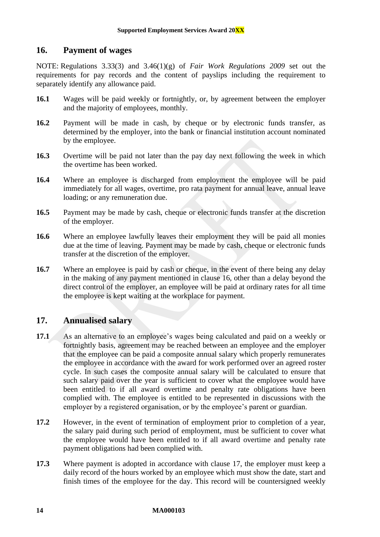## <span id="page-14-0"></span>**16. Payment of wages**

NOTE: Regulations 3.33(3) and 3.46(1)(g) of *Fair Work Regulations 2009* set out the requirements for pay records and the content of payslips including the requirement to separately identify any allowance paid.

- **16.1** Wages will be paid weekly or fortnightly, or, by agreement between the employer and the majority of employees, monthly.
- <span id="page-14-2"></span>**16.2** Payment will be made in cash, by cheque or by electronic funds transfer, as determined by the employer, into the bank or financial institution account nominated by the employee.
- **16.3** Overtime will be paid not later than the pay day next following the week in which the overtime has been worked.
- **16.4** Where an employee is discharged from employment the employee will be paid immediately for all wages, overtime, pro rata payment for annual leave, annual leave loading; or any remuneration due.
- **16.5** Payment may be made by cash, cheque or electronic funds transfer at the discretion of the employer.
- **16.6** Where an employee lawfully leaves their employment they will be paid all monies due at the time of leaving. Payment may be made by cash, cheque or electronic funds transfer at the discretion of the employer.
- **16.7** Where an employee is paid by cash or cheque, in the event of there being any delay in the making of any payment mentioned in clause [16,](#page-14-0) other than a delay beyond the direct control of the employer, an employee will be paid at ordinary rates for all time the employee is kept waiting at the workplace for payment.

## <span id="page-14-1"></span>**17. Annualised salary**

- **17.1** As an alternative to an employee's wages being calculated and paid on a weekly or fortnightly basis, agreement may be reached between an employee and the employer that the employee can be paid a composite annual salary which properly remunerates the employee in accordance with the award for work performed over an agreed roster cycle. In such cases the composite annual salary will be calculated to ensure that such salary paid over the year is sufficient to cover what the employee would have been entitled to if all award overtime and penalty rate obligations have been complied with. The employee is entitled to be represented in discussions with the employer by a registered organisation, or by the employee's parent or guardian.
- **17.2** However, in the event of termination of employment prior to completion of a year, the salary paid during such period of employment, must be sufficient to cover what the employee would have been entitled to if all award overtime and penalty rate payment obligations had been complied with.
- **17.3** Where payment is adopted in accordance with clause [17,](#page-14-1) the employer must keep a daily record of the hours worked by an employee which must show the date, start and finish times of the employee for the day. This record will be countersigned weekly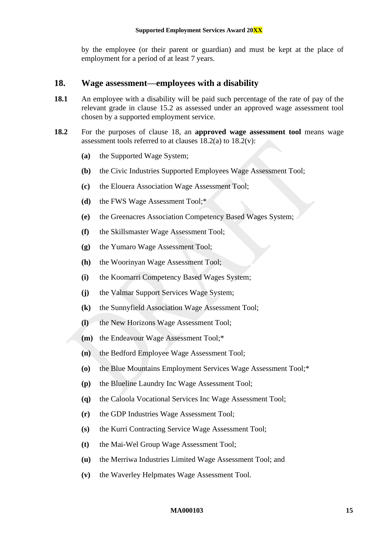by the employee (or their parent or guardian) and must be kept at the place of employment for a period of at least 7 years.

### <span id="page-15-0"></span>**18. Wage assessment—employees with a disability**

- <span id="page-15-5"></span>**18.1** An employee with a disability will be paid such percentage of the rate of pay of the relevant grade in clause [15.2](#page-13-2) as assessed under an approved wage assessment tool chosen by a supported employment service.
- <span id="page-15-4"></span><span id="page-15-3"></span><span id="page-15-2"></span><span id="page-15-1"></span>**18.2** For the purposes of clause [18,](#page-15-0) an **approved wage assessment tool** means wage assessment tools referred to at clauses  $18.2(a)$  to  $18.2(v)$ :
	- **(a)** the Supported Wage System;
	- **(b)** the Civic Industries Supported Employees Wage Assessment Tool;
	- **(c)** the Elouera Association Wage Assessment Tool;
	- **(d)** the FWS Wage Assessment Tool;\*
	- **(e)** the Greenacres Association Competency Based Wages System;
	- **(f)** the Skillsmaster Wage Assessment Tool;
	- **(g)** the Yumaro Wage Assessment Tool;
	- **(h)** the Woorinyan Wage Assessment Tool;
	- **(i)** the Koomarri Competency Based Wages System;
	- **(j)** the Valmar Support Services Wage System;
	- **(k)** the Sunnyfield Association Wage Assessment Tool;
	- **(l)** the New Horizons Wage Assessment Tool;
	- **(m)** the Endeavour Wage Assessment Tool;\*
	- **(n)** the Bedford Employee Wage Assessment Tool;
	- **(o)** the Blue Mountains Employment Services Wage Assessment Tool;\*
	- **(p)** the Blueline Laundry Inc Wage Assessment Tool;
	- **(q)** the Caloola Vocational Services Inc Wage Assessment Tool;
	- **(r)** the GDP Industries Wage Assessment Tool;
	- **(s)** the Kurri Contracting Service Wage Assessment Tool;
	- **(t)** the Mai-Wel Group Wage Assessment Tool;
	- **(u)** the Merriwa Industries Limited Wage Assessment Tool; and
	- **(v)** the Waverley Helpmates Wage Assessment Tool.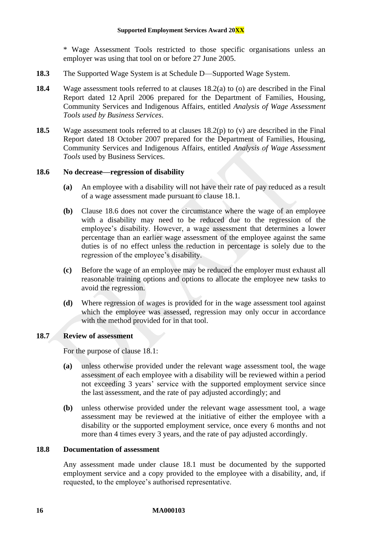\* Wage Assessment Tools restricted to those specific organisations unless an employer was using that tool on or before 27 June 2005.

- **18.3** The Supported Wage System is at [Schedule D—Supported Wage System.](#page-52-0)
- **18.4** Wage assessment tools referred to at clauses [18.2\(a\)](#page-15-1) to [\(o\)](#page-15-3) are described in the Final Report dated 12 April 2006 prepared for the Department of Families, Housing, Community Services and Indigenous Affairs, entitled *Analysis of Wage Assessment Tools used by Business Services*.
- **18.5** Wage assessment tools referred to at clauses [18.2\(p\)](#page-15-4) to [\(v\)](#page-15-2) are described in the Final Report dated 18 October 2007 prepared for the Department of Families, Housing, Community Services and Indigenous Affairs, entitled *Analysis of Wage Assessment Tools* used by Business Services.

#### <span id="page-16-0"></span>**18.6 No decrease—regression of disability**

- **(a)** An employee with a disability will not have their rate of pay reduced as a result of a wage assessment made pursuant to clause [18.1.](#page-15-5)
- **(b)** Clause [18.6](#page-16-0) does not cover the circumstance where the wage of an employee with a disability may need to be reduced due to the regression of the employee's disability. However, a wage assessment that determines a lower percentage than an earlier wage assessment of the employee against the same duties is of no effect unless the reduction in percentage is solely due to the regression of the employee's disability.
- **(c)** Before the wage of an employee may be reduced the employer must exhaust all reasonable training options and options to allocate the employee new tasks to avoid the regression.
- **(d)** Where regression of wages is provided for in the wage assessment tool against which the employee was assessed, regression may only occur in accordance with the method provided for in that tool.

#### <span id="page-16-1"></span>**18.7 Review of assessment**

For the purpose of clause [18.1:](#page-15-5)

- **(a)** unless otherwise provided under the relevant wage assessment tool, the wage assessment of each employee with a disability will be reviewed within a period not exceeding 3 years' service with the supported employment service since the last assessment, and the rate of pay adjusted accordingly; and
- **(b)** unless otherwise provided under the relevant wage assessment tool, a wage assessment may be reviewed at the initiative of either the employee with a disability or the supported employment service, once every 6 months and not more than 4 times every 3 years, and the rate of pay adjusted accordingly.

#### **18.8 Documentation of assessment**

Any assessment made under clause [18.1](#page-15-5) must be documented by the supported employment service and a copy provided to the employee with a disability, and, if requested, to the employee's authorised representative.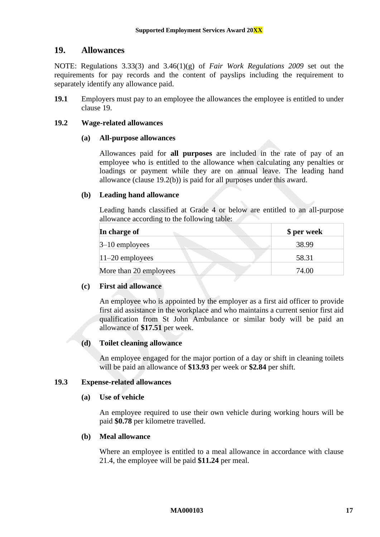## <span id="page-17-0"></span>**19. Allowances**

NOTE: Regulations 3.33(3) and 3.46(1)(g) of *Fair Work Regulations 2009* set out the requirements for pay records and the content of payslips including the requirement to separately identify any allowance paid.

**19.1** Employers must pay to an employee the allowances the employee is entitled to under clause [19.](#page-17-0)

#### <span id="page-17-3"></span>**19.2 Wage-related allowances**

#### **(a) All-purpose allowances**

Allowances paid for **all purposes** are included in the rate of pay of an employee who is entitled to the allowance when calculating any penalties or loadings or payment while they are on annual leave. The leading hand allowance (clause [19.2\(b\)\)](#page-17-1) is paid for all purposes under this award.

#### <span id="page-17-1"></span>**(b) Leading hand allowance**

Leading hands classified at Grade 4 or below are entitled to an all-purpose allowance according to the following table:

| In charge of           | \$ per week |
|------------------------|-------------|
| $3-10$ employees       | 38.99       |
| $ 11-20$ employees     | 58.31       |
| More than 20 employees | 74.00       |

#### **(c) First aid allowance**

An employee who is appointed by the employer as a first aid officer to provide first aid assistance in the workplace and who maintains a current senior first aid qualification from St John Ambulance or similar body will be paid an allowance of **\$17.51** per week.

#### **(d) Toilet cleaning allowance**

An employee engaged for the major portion of a day or shift in cleaning toilets will be paid an allowance of **\$13.93** per week or **\$2.84** per shift.

#### <span id="page-17-4"></span>**19.3 Expense-related allowances**

#### **(a) Use of vehicle**

An employee required to use their own vehicle during working hours will be paid **\$0.78** per kilometre travelled.

#### <span id="page-17-2"></span>**(b) Meal allowance**

Where an employee is entitled to a meal allowance in accordance with clause [21.4,](#page-20-2) the employee will be paid **\$11.24** per meal.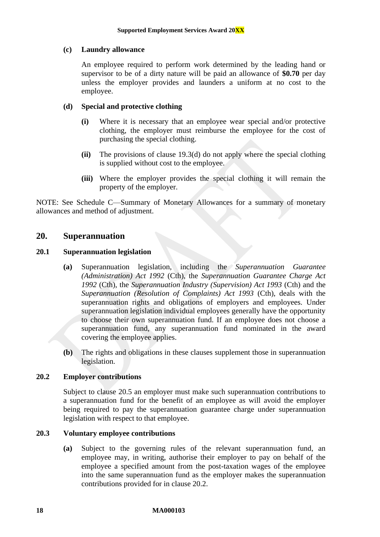#### **(c) Laundry allowance**

An employee required to perform work determined by the leading hand or supervisor to be of a dirty nature will be paid an allowance of **\$0.70** per day unless the employer provides and launders a uniform at no cost to the employee.

#### <span id="page-18-1"></span>**(d) Special and protective clothing**

- **(i)** Where it is necessary that an employee wear special and/or protective clothing, the employer must reimburse the employee for the cost of purchasing the special clothing.
- **(ii)** The provisions of clause [19.3\(d\)](#page-18-1) do not apply where the special clothing is supplied without cost to the employee.
- **(iii)** Where the employer provides the special clothing it will remain the property of the employer.

NOTE: See [Schedule C—Summary of Monetary Allowances](#page-50-0) for a summary of monetary allowances and method of adjustment.

## <span id="page-18-0"></span>**20. Superannuation**

#### **20.1 Superannuation legislation**

- **(a)** Superannuation legislation, including the *Superannuation Guarantee (Administration) Act 1992* (Cth), the *Superannuation Guarantee Charge Act 1992* (Cth), the *Superannuation Industry (Supervision) Act 1993* (Cth) and the *Superannuation (Resolution of Complaints) Act 1993* (Cth), deals with the superannuation rights and obligations of employers and employees. Under superannuation legislation individual employees generally have the opportunity to choose their own superannuation fund. If an employee does not choose a superannuation fund, any superannuation fund nominated in the award covering the employee applies.
- **(b)** The rights and obligations in these clauses supplement those in superannuation legislation.

#### <span id="page-18-2"></span>**20.2 Employer contributions**

Subject to clause [20.5](#page-19-2) an employer must make such superannuation contributions to a superannuation fund for the benefit of an employee as will avoid the employer being required to pay the superannuation guarantee charge under superannuation legislation with respect to that employee.

#### <span id="page-18-3"></span>**20.3 Voluntary employee contributions**

**(a)** Subject to the governing rules of the relevant superannuation fund, an employee may, in writing, authorise their employer to pay on behalf of the employee a specified amount from the post-taxation wages of the employee into the same superannuation fund as the employer makes the superannuation contributions provided for in clause [20.2.](#page-18-2)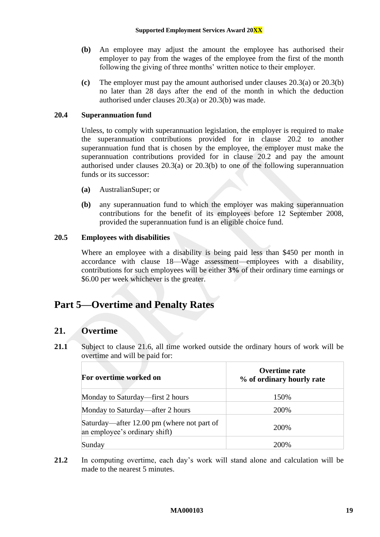- <span id="page-19-3"></span>**(b)** An employee may adjust the amount the employee has authorised their employer to pay from the wages of the employee from the first of the month following the giving of three months' written notice to their employer.
- **(c)** The employer must pay the amount authorised under clauses [20.3\(a\)](#page-18-3) or [20.3\(b\)](#page-19-3) no later than 28 days after the end of the month in which the deduction authorised under clauses [20.3\(a\)](#page-18-3) or [20.3\(b\)](#page-19-3) was made.

#### **20.4 Superannuation fund**

Unless, to comply with superannuation legislation, the employer is required to make the superannuation contributions provided for in clause [20.2](#page-18-2) to another superannuation fund that is chosen by the employee, the employer must make the superannuation contributions provided for in clause [20.2](#page-18-2) and pay the amount authorised under clauses [20.3\(a\)](#page-18-3) or [20.3\(b\)](#page-19-3) to one of the following superannuation funds or its successor:

- **(a)** AustralianSuper; or
- **(b)** any superannuation fund to which the employer was making superannuation contributions for the benefit of its employees before 12 September 2008, provided the superannuation fund is an eligible choice fund.

#### <span id="page-19-2"></span>**20.5 Employees with disabilities**

Where an employee with a disability is being paid less than \$450 per month in accordance with clause [18—Wage assessment—employees with a disability,](#page-15-0) contributions for such employees will be either **3%** of their ordinary time earnings or \$6.00 per week whichever is the greater.

## <span id="page-19-1"></span><span id="page-19-0"></span>**Part 5—Overtime and Penalty Rates**

## **21. Overtime**

**21.1** Subject to clause [21.6,](#page-20-1) all time worked outside the ordinary hours of work will be overtime and will be paid for:

| For overtime worked on                                                      | Overtime rate<br>% of ordinary hourly rate |  |
|-----------------------------------------------------------------------------|--------------------------------------------|--|
| Monday to Saturday—first 2 hours                                            | 150%                                       |  |
| Monday to Saturday—after 2 hours                                            | 200%                                       |  |
| Saturday—after 12.00 pm (where not part of<br>an employee's ordinary shift) | 200\%                                      |  |
| Sunday                                                                      | 200%                                       |  |

**21.2** In computing overtime, each day's work will stand alone and calculation will be made to the nearest 5 minutes.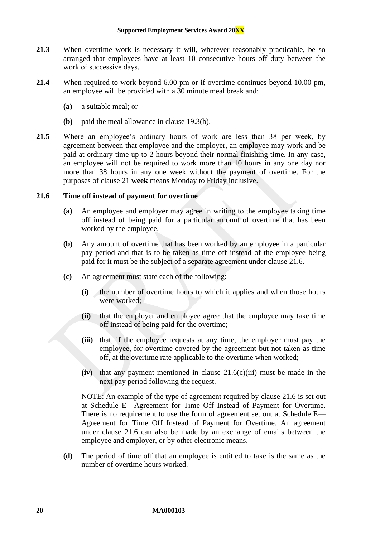- **21.3** When overtime work is necessary it will, wherever reasonably practicable, be so arranged that employees have at least 10 consecutive hours off duty between the work of successive days.
- <span id="page-20-2"></span>**21.4** When required to work beyond 6.00 pm or if overtime continues beyond 10.00 pm, an employee will be provided with a 30 minute meal break and:
	- **(a)** a suitable meal; or
	- **(b)** paid the meal allowance in clause [19.3\(b\).](#page-17-2)
- <span id="page-20-0"></span>**21.5** Where an employee's ordinary hours of work are less than 38 per week, by agreement between that employee and the employer, an employee may work and be paid at ordinary time up to 2 hours beyond their normal finishing time. In any case, an employee will not be required to work more than 10 hours in any one day nor more than 38 hours in any one week without the payment of overtime. For the purposes of clause [21](#page-19-1) **week** means Monday to Friday inclusive.

#### <span id="page-20-1"></span>**21.6 Time off instead of payment for overtime**

- **(a)** An employee and employer may agree in writing to the employee taking time off instead of being paid for a particular amount of overtime that has been worked by the employee.
- <span id="page-20-4"></span>**(b)** Any amount of overtime that has been worked by an employee in a particular pay period and that is to be taken as time off instead of the employee being paid for it must be the subject of a separate agreement under clause [21.6.](#page-20-1)
- <span id="page-20-3"></span>**(c)** An agreement must state each of the following:
	- **(i)** the number of overtime hours to which it applies and when those hours were worked;
	- **(ii)** that the employer and employee agree that the employee may take time off instead of being paid for the overtime;
	- **(iii)** that, if the employee requests at any time, the employer must pay the employee, for overtime covered by the agreement but not taken as time off, at the overtime rate applicable to the overtime when worked;
	- $(iv)$  that any payment mentioned in clause  $21.6(c)(iii)$  must be made in the next pay period following the request.

NOTE: An example of the type of agreement required by clause [21.6](#page-20-1) is set out at [Schedule E—Agreement for Time Off Instead of Payment for Overtime.](#page-56-0) There is no requirement to use the form of agreement set out at [Schedule E—](#page-56-0) [Agreement for Time Off Instead of Payment for Overtime.](#page-56-0) An agreement under clause [21.6](#page-20-1) can also be made by an exchange of emails between the employee and employer, or by other electronic means.

**(d)** The period of time off that an employee is entitled to take is the same as the number of overtime hours worked.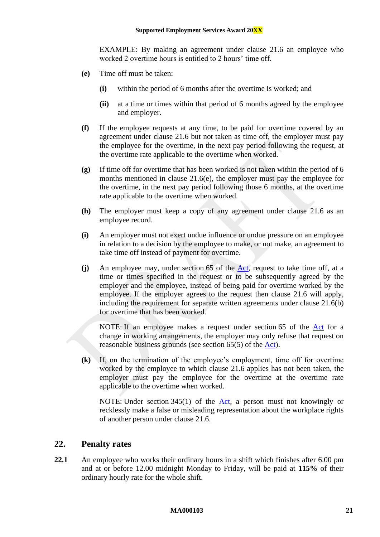EXAMPLE: By making an agreement under clause [21.6](#page-20-1) an employee who worked 2 overtime hours is entitled to 2 hours' time off.

- <span id="page-21-1"></span>**(e)** Time off must be taken:
	- **(i)** within the period of 6 months after the overtime is worked; and
	- **(ii)** at a time or times within that period of 6 months agreed by the employee and employer.
- **(f)** If the employee requests at any time, to be paid for overtime covered by an agreement under clause [21.6](#page-20-1) but not taken as time off, the employer must pay the employee for the overtime, in the next pay period following the request, at the overtime rate applicable to the overtime when worked.
- **(g)** If time off for overtime that has been worked is not taken within the period of 6 months mentioned in clause [21.6\(e\),](#page-21-1) the employer must pay the employee for the overtime, in the next pay period following those 6 months, at the overtime rate applicable to the overtime when worked.
- **(h)** The employer must keep a copy of any agreement under clause [21.6](#page-20-1) as an employee record.
- **(i)** An employer must not exert undue influence or undue pressure on an employee in relation to a decision by the employee to make, or not make, an agreement to take time off instead of payment for overtime.
- **(j)** An employee may, under section 65 of the [Act,](http://www.legislation.gov.au/Series/C2009A00028) request to take time off, at a time or times specified in the request or to be subsequently agreed by the employer and the employee, instead of being paid for overtime worked by the employee. If the employer agrees to the request then clause [21.6](#page-20-1) will apply, including the requirement for separate written agreements under clause [21.6\(b\)](#page-20-4) for overtime that has been worked.

NOTE: If an employee makes a request under section 65 of the [Act](http://www.legislation.gov.au/Series/C2009A00028) for a change in working arrangements, the employer may only refuse that request on reasonable business grounds (see section 65(5) of the [Act\)](http://www.legislation.gov.au/Series/C2009A00028).

**(k)** If, on the termination of the employee's employment, time off for overtime worked by the employee to which clause [21.6](#page-20-1) applies has not been taken, the employer must pay the employee for the overtime at the overtime rate applicable to the overtime when worked.

NOTE: Under section 345(1) of the  $Act$ , a person must not knowingly or recklessly make a false or misleading representation about the workplace rights of another person under clause [21.6.](#page-20-1)

## <span id="page-21-0"></span>**22. Penalty rates**

<span id="page-21-2"></span>**22.1** An employee who works their ordinary hours in a shift which finishes after 6.00 pm and at or before 12.00 midnight Monday to Friday, will be paid at **115%** of their ordinary hourly rate for the whole shift.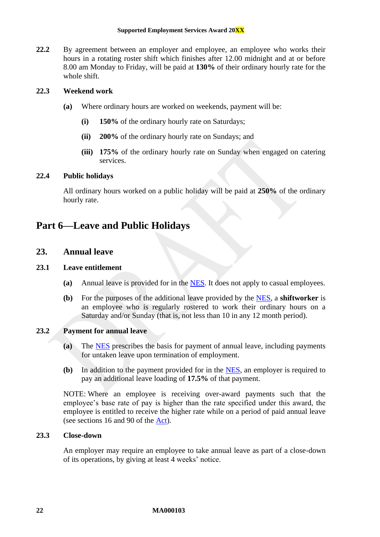<span id="page-22-4"></span>**22.2** By agreement between an employer and employee, an employee who works their hours in a rotating roster shift which finishes after 12.00 midnight and at or before 8.00 am Monday to Friday, will be paid at **130%** of their ordinary hourly rate for the whole shift.

#### **22.3 Weekend work**

- **(a)** Where ordinary hours are worked on weekends, payment will be:
	- **(i) 150%** of the ordinary hourly rate on Saturdays;
	- **(ii) 200%** of the ordinary hourly rate on Sundays; and
	- **(iii) 175%** of the ordinary hourly rate on Sunday when engaged on catering services.

#### <span id="page-22-3"></span>**22.4 Public holidays**

All ordinary hours worked on a public holiday will be paid at **250%** of the ordinary hourly rate.

## <span id="page-22-1"></span><span id="page-22-0"></span>**Part 6—Leave and Public Holidays**

## **23. Annual leave**

#### <span id="page-22-2"></span>**23.1 Leave entitlement**

- **(a)** Annual leave is provided for in the [NES.](https://www.fwc.gov.au/documents/awardmod/download/nes.pdf) It does not apply to casual employees.
- **(b)** For the purposes of the additional leave provided by the [NES,](https://www.fwc.gov.au/documents/awardmod/download/nes.pdf) a **shiftworker** is an employee who is regularly rostered to work their ordinary hours on a Saturday and/or Sunday (that is, not less than 10 in any 12 month period).

## **23.2 Payment for annual leave**

- **(a)** The [NES](https://www.fwc.gov.au/documents/awardmod/download/nes.pdf) prescribes the basis for payment of annual leave, including payments for untaken leave upon termination of employment.
- **(b)** In addition to the payment provided for in the [NES,](https://www.fwc.gov.au/documents/awardmod/download/nes.pdf) an employer is required to pay an additional leave loading of **17.5%** of that payment.

NOTE: Where an employee is receiving over-award payments such that the employee's base rate of pay is higher than the rate specified under this award, the employee is entitled to receive the higher rate while on a period of paid annual leave (see sections 16 and 90 of the [Act\)](http://www.legislation.gov.au/Series/C2009A00028).

#### **23.3 Close-down**

An employer may require an employee to take annual leave as part of a close-down of its operations, by giving at least 4 weeks' notice.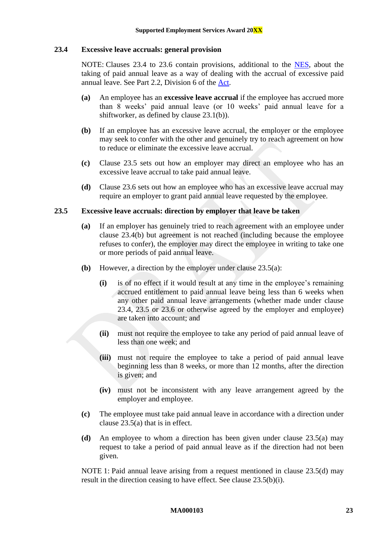#### <span id="page-23-0"></span>**23.4 Excessive leave accruals: general provision**

NOTE: Clauses [23.4](#page-23-0) to [23.6](#page-24-1) contain provisions, additional to the [NES,](https://www.fwc.gov.au/documents/awardmod/download/nes.pdf) about the taking of paid annual leave as a way of dealing with the accrual of excessive paid annual leave. See Part 2.2, Division 6 of the [Act.](http://www.legislation.gov.au/Series/C2009A00028)

- **(a)** An employee has an **excessive leave accrual** if the employee has accrued more than 8 weeks' paid annual leave (or 10 weeks' paid annual leave for a shiftworker, as defined by clause [23.1\(b\)\)](#page-22-2).
- <span id="page-23-2"></span>**(b)** If an employee has an excessive leave accrual, the employer or the employee may seek to confer with the other and genuinely try to reach agreement on how to reduce or eliminate the excessive leave accrual.
- **(c)** Clause [23.5](#page-23-1) sets out how an employer may direct an employee who has an excessive leave accrual to take paid annual leave.
- **(d)** Clause [23.6](#page-24-1) sets out how an employee who has an excessive leave accrual may require an employer to grant paid annual leave requested by the employee.

#### <span id="page-23-3"></span><span id="page-23-1"></span>**23.5 Excessive leave accruals: direction by employer that leave be taken**

- **(a)** If an employer has genuinely tried to reach agreement with an employee under clause [23.4\(b\)](#page-23-2) but agreement is not reached (including because the employee refuses to confer), the employer may direct the employee in writing to take one or more periods of paid annual leave.
- <span id="page-23-5"></span>**(b)** However, a direction by the employer under clause [23.5\(a\):](#page-23-3)
	- **(i)** is of no effect if it would result at any time in the employee's remaining accrued entitlement to paid annual leave being less than 6 weeks when any other paid annual leave arrangements (whether made under clause [23.4,](#page-23-0) [23.5](#page-23-1) or [23.6](#page-24-1) or otherwise agreed by the employer and employee) are taken into account; and
	- **(ii)** must not require the employee to take any period of paid annual leave of less than one week; and
	- **(iii)** must not require the employee to take a period of paid annual leave beginning less than 8 weeks, or more than 12 months, after the direction is given; and
	- **(iv)** must not be inconsistent with any leave arrangement agreed by the employer and employee.
- **(c)** The employee must take paid annual leave in accordance with a direction under clause [23.5\(a\)](#page-23-3) that is in effect.
- <span id="page-23-4"></span>**(d)** An employee to whom a direction has been given under clause [23.5\(a\)](#page-23-3) may request to take a period of paid annual leave as if the direction had not been given.

NOTE 1: Paid annual leave arising from a request mentioned in clause [23.5\(d\)](#page-23-4) may result in the direction ceasing to have effect. See clause [23.5\(b\)\(i\).](#page-23-5)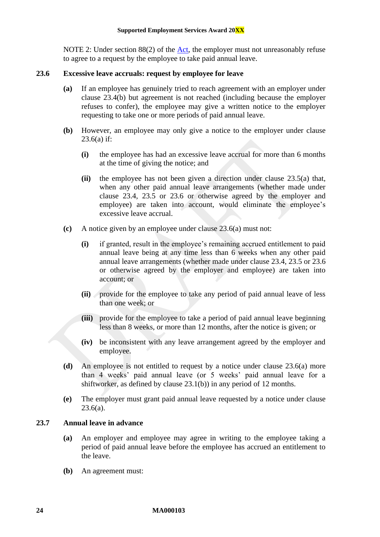NOTE 2: Under section 88(2) of the [Act,](http://www.legislation.gov.au/Series/C2009A00028) the employer must not unreasonably refuse to agree to a request by the employee to take paid annual leave.

#### <span id="page-24-2"></span><span id="page-24-1"></span>**23.6 Excessive leave accruals: request by employee for leave**

- **(a)** If an employee has genuinely tried to reach agreement with an employer under clause [23.4\(b\)](#page-23-2) but agreement is not reached (including because the employer refuses to confer), the employee may give a written notice to the employer requesting to take one or more periods of paid annual leave.
- **(b)** However, an employee may only give a notice to the employer under clause  $23.6(a)$  if:
	- **(i)** the employee has had an excessive leave accrual for more than 6 months at the time of giving the notice; and
	- **(ii)** the employee has not been given a direction under clause [23.5\(a\)](#page-23-3) that, when any other paid annual leave arrangements (whether made under clause [23.4,](#page-23-0) [23.5](#page-23-1) or [23.6](#page-24-1) or otherwise agreed by the employer and employee) are taken into account, would eliminate the employee's excessive leave accrual.
- **(c)** A notice given by an employee under clause [23.6\(a\)](#page-24-2) must not:
	- **(i)** if granted, result in the employee's remaining accrued entitlement to paid annual leave being at any time less than 6 weeks when any other paid annual leave arrangements (whether made under clause [23.4,](#page-23-0) [23.5](#page-23-1) or [23.6](#page-24-1) or otherwise agreed by the employer and employee) are taken into account; or
	- **(ii)** provide for the employee to take any period of paid annual leave of less than one week; or
	- **(iii)** provide for the employee to take a period of paid annual leave beginning less than 8 weeks, or more than 12 months, after the notice is given; or
	- **(iv)** be inconsistent with any leave arrangement agreed by the employer and employee.
- **(d)** An employee is not entitled to request by a notice under clause [23.6\(a\)](#page-24-2) more than 4 weeks' paid annual leave (or 5 weeks' paid annual leave for a shiftworker, as defined by clause [23.1\(b\)\)](#page-22-2) in any period of 12 months.
- **(e)** The employer must grant paid annual leave requested by a notice under clause  $23.6(a)$ .

### <span id="page-24-0"></span>**23.7 Annual leave in advance**

- **(a)** An employer and employee may agree in writing to the employee taking a period of paid annual leave before the employee has accrued an entitlement to the leave.
- **(b)** An agreement must: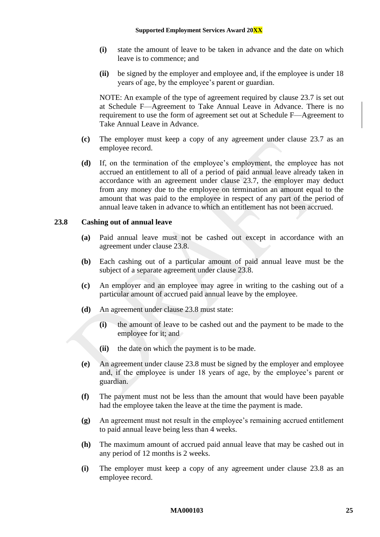- **(i)** state the amount of leave to be taken in advance and the date on which leave is to commence; and
- **(ii)** be signed by the employer and employee and, if the employee is under 18 years of age, by the employee's parent or guardian.

NOTE: An example of the type of agreement required by clause [23.7](#page-24-0) is set out at [Schedule](#page-57-0) [F—Agreement to Take Annual Leave in Advance.](#page-57-0) There is no requirement to use the form of agreement set out at [Schedule F—Agreement to](#page-57-0)  [Take Annual Leave in Advance.](#page-57-0)

- **(c)** The employer must keep a copy of any agreement under clause [23.7](#page-24-0) as an employee record.
- **(d)** If, on the termination of the employee's employment, the employee has not accrued an entitlement to all of a period of paid annual leave already taken in accordance with an agreement under clause [23.7,](#page-24-0) the employer may deduct from any money due to the employee on termination an amount equal to the amount that was paid to the employee in respect of any part of the period of annual leave taken in advance to which an entitlement has not been accrued.

#### <span id="page-25-0"></span>**23.8 Cashing out of annual leave**

- **(a)** Paid annual leave must not be cashed out except in accordance with an agreement under clause [23.8.](#page-25-0)
- **(b)** Each cashing out of a particular amount of paid annual leave must be the subject of a separate agreement under clause [23.8.](#page-25-0)
- **(c)** An employer and an employee may agree in writing to the cashing out of a particular amount of accrued paid annual leave by the employee.
- **(d)** An agreement under clause [23.8](#page-25-0) must state:
	- **(i)** the amount of leave to be cashed out and the payment to be made to the employee for it; and
	- **(ii)** the date on which the payment is to be made.
- **(e)** An agreement under clause [23.8](#page-25-0) must be signed by the employer and employee and, if the employee is under 18 years of age, by the employee's parent or guardian.
- **(f)** The payment must not be less than the amount that would have been payable had the employee taken the leave at the time the payment is made.
- **(g)** An agreement must not result in the employee's remaining accrued entitlement to paid annual leave being less than 4 weeks.
- **(h)** The maximum amount of accrued paid annual leave that may be cashed out in any period of 12 months is 2 weeks.
- **(i)** The employer must keep a copy of any agreement under clause [23.8](#page-25-0) as an employee record.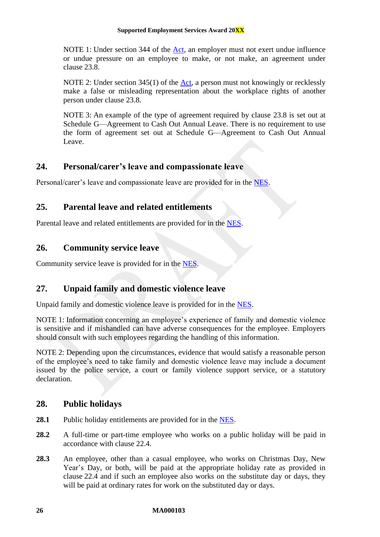NOTE 1: Under section 344 of the [Act,](http://www.legislation.gov.au/Series/C2009A00028) an employer must not exert undue influence or undue pressure on an employee to make, or not make, an agreement under clause [23.8.](#page-25-0)

NOTE 2: Under section 345(1) of the  $Act$ , a person must not knowingly or recklessly make a false or misleading representation about the workplace rights of another person under clause [23.8.](#page-25-0)

NOTE 3: An example of the type of agreement required by clause [23.8](#page-25-0) is set out at [Schedule G—Agreement to Cash Out Annual Leave.](#page-58-0) There is no requirement to use the form of agreement set out at [Schedule G—Agreement to Cash Out Annual](#page-58-0)  [Leave.](#page-58-0)

## <span id="page-26-0"></span>**24. Personal/carer's leave and compassionate leave**

<span id="page-26-1"></span>Personal/carer's leave and compassionate leave are provided for in the [NES.](https://www.fwc.gov.au/documents/awardmod/download/nes.pdf)

## **25. Parental leave and related entitlements**

<span id="page-26-2"></span>Parental leave and related entitlements are provided for in the [NES.](https://www.fwc.gov.au/documents/awardmod/download/nes.pdf)

## **26. Community service leave**

<span id="page-26-3"></span>Community service leave is provided for in the [NES.](https://www.fwc.gov.au/documents/awardmod/download/nes.pdf)

## **27. Unpaid family and domestic violence leave**

Unpaid family and domestic violence leave is provided for in the [NES.](https://www.fwc.gov.au/documents/awardmod/download/nes.pdf)

NOTE 1: Information concerning an employee's experience of family and domestic violence is sensitive and if mishandled can have adverse consequences for the employee. Employers should consult with such employees regarding the handling of this information.

NOTE 2: Depending upon the circumstances, evidence that would satisfy a reasonable person of the employee's need to take family and domestic violence leave may include a document issued by the police service, a court or family violence support service, or a statutory declaration.

## <span id="page-26-4"></span>**28. Public holidays**

- 28.1 Public holiday entitlements are provided for in the [NES.](https://www.fwc.gov.au/documents/awardmod/download/nes.pdf)
- **28.2** A full-time or part-time employee who works on a public holiday will be paid in accordance with clause [22.4.](#page-22-3)
- <span id="page-26-5"></span>**28.3** An employee, other than a casual employee, who works on Christmas Day, New Year's Day, or both, will be paid at the appropriate holiday rate as provided in clause [22.4](#page-22-3) and if such an employee also works on the substitute day or days, they will be paid at ordinary rates for work on the substituted day or days.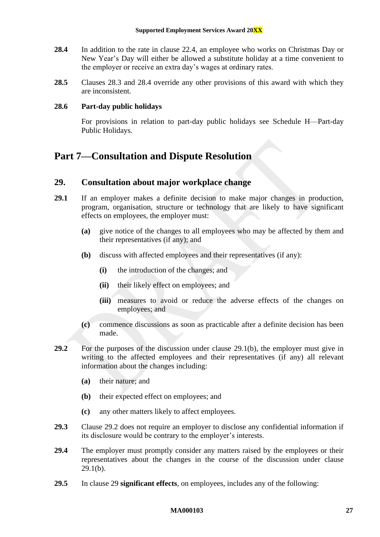- <span id="page-27-2"></span>**28.4** In addition to the rate in clause [22.4,](#page-22-3) an employee who works on Christmas Day or New Year's Day will either be allowed a substitute holiday at a time convenient to the employer or receive an extra day's wages at ordinary rates.
- **28.5** Clauses [28.3](#page-26-5) and [28.4](#page-27-2) override any other provisions of this award with which they are inconsistent.

#### **28.6 Part-day public holidays**

For provisions in relation to part-day public holidays see [Schedule H—Part-day](#page-59-0)  [Public Holidays.](#page-59-0)

## <span id="page-27-1"></span><span id="page-27-0"></span>**Part 7—Consultation and Dispute Resolution**

## **29. Consultation about major workplace change**

- <span id="page-27-3"></span>**29.1** If an employer makes a definite decision to make major changes in production, program, organisation, structure or technology that are likely to have significant effects on employees, the employer must:
	- **(a)** give notice of the changes to all employees who may be affected by them and their representatives (if any); and
	- **(b)** discuss with affected employees and their representatives (if any):
		- **(i)** the introduction of the changes; and
		- **(ii)** their likely effect on employees; and
		- **(iii)** measures to avoid or reduce the adverse effects of the changes on employees; and
	- **(c)** commence discussions as soon as practicable after a definite decision has been made.
- <span id="page-27-4"></span>**29.2** For the purposes of the discussion under clause [29.1\(b\),](#page-27-3) the employer must give in writing to the affected employees and their representatives (if any) all relevant information about the changes including:
	- **(a)** their nature; and
	- **(b)** their expected effect on employees; and
	- **(c)** any other matters likely to affect employees.
- **29.3** Clause [29.2](#page-27-4) does not require an employer to disclose any confidential information if its disclosure would be contrary to the employer's interests.
- **29.4** The employer must promptly consider any matters raised by the employees or their representatives about the changes in the course of the discussion under clause [29.1\(b\).](#page-27-3)
- <span id="page-27-5"></span>**29.5** In clause [29](#page-27-1) **significant effects**, on employees, includes any of the following: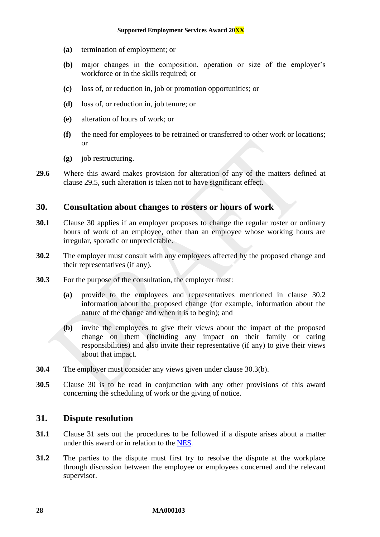- **(a)** termination of employment; or
- **(b)** major changes in the composition, operation or size of the employer's workforce or in the skills required; or
- **(c)** loss of, or reduction in, job or promotion opportunities; or
- **(d)** loss of, or reduction in, job tenure; or
- **(e)** alteration of hours of work; or
- **(f)** the need for employees to be retrained or transferred to other work or locations; or
- **(g)** job restructuring.
- **29.6** Where this award makes provision for alteration of any of the matters defined at clause [29.5,](#page-27-5) such alteration is taken not to have significant effect.

#### <span id="page-28-0"></span>**30. Consultation about changes to rosters or hours of work**

- **30.1** Clause [30](#page-28-0) applies if an employer proposes to change the regular roster or ordinary hours of work of an employee, other than an employee whose working hours are irregular, sporadic or unpredictable.
- <span id="page-28-2"></span>**30.2** The employer must consult with any employees affected by the proposed change and their representatives (if any).
- <span id="page-28-3"></span>**30.3** For the purpose of the consultation, the employer must:
	- **(a)** provide to the employees and representatives mentioned in clause [30.2](#page-28-2) information about the proposed change (for example, information about the nature of the change and when it is to begin); and
	- **(b)** invite the employees to give their views about the impact of the proposed change on them (including any impact on their family or caring responsibilities) and also invite their representative (if any) to give their views about that impact.
- **30.4** The employer must consider any views given under clause [30.3\(b\).](#page-28-3)
- **30.5** Clause [30](#page-28-0) is to be read in conjunction with any other provisions of this award concerning the scheduling of work or the giving of notice.

## <span id="page-28-1"></span>**31. Dispute resolution**

- **31.1** Clause [31](#page-28-1) sets out the procedures to be followed if a dispute arises about a matter under this award or in relation to the [NES](https://www.fwc.gov.au/documents/awardmod/download/nes.pdf).
- <span id="page-28-4"></span>**31.2** The parties to the dispute must first try to resolve the dispute at the workplace through discussion between the employee or employees concerned and the relevant supervisor.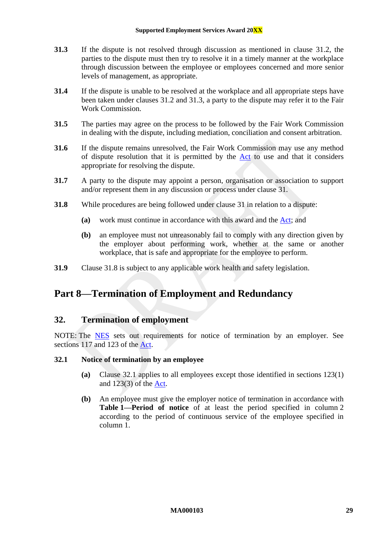- <span id="page-29-2"></span>**31.3** If the dispute is not resolved through discussion as mentioned in clause [31.2,](#page-28-4) the parties to the dispute must then try to resolve it in a timely manner at the workplace through discussion between the employee or employees concerned and more senior levels of management, as appropriate.
- **31.4** If the dispute is unable to be resolved at the workplace and all appropriate steps have been taken under clauses [31.2](#page-28-4) and [31.3,](#page-29-2) a party to the dispute may refer it to the Fair Work Commission.
- **31.5** The parties may agree on the process to be followed by the Fair Work Commission in dealing with the dispute, including mediation, conciliation and consent arbitration.
- <span id="page-29-6"></span>**31.6** If the dispute remains unresolved, the Fair Work Commission may use any method of dispute resolution that it is permitted by the [Act](http://www.legislation.gov.au/Series/C2009A00028) to use and that it considers appropriate for resolving the dispute.
- **31.7** A party to the dispute may appoint a person, organisation or association to support and/or represent them in any discussion or process under clause [31.](#page-28-1)
- <span id="page-29-3"></span>**31.8** While procedures are being followed under clause [31](#page-28-1) in relation to a dispute:
	- **(a)** work must continue in accordance with this award and the [Act;](http://www.legislation.gov.au/Series/C2009A00028) and
	- **(b)** an employee must not unreasonably fail to comply with any direction given by the employer about performing work, whether at the same or another workplace, that is safe and appropriate for the employee to perform.
- <span id="page-29-0"></span>**31.9** Clause [31.8](#page-29-3) is subject to any applicable work health and safety legislation.

## <span id="page-29-1"></span>**Part 8—Termination of Employment and Redundancy**

## **32. Termination of employment**

NOTE: The [NES](https://www.fwc.gov.au/documents/awardmod/download/nes.pdf) sets out requirements for notice of termination by an employer. See sections 117 and 123 of the [Act.](http://www.legislation.gov.au/Series/C2009A00028)

#### <span id="page-29-4"></span>**32.1 Notice of termination by an employee**

- **(a)** Clause [32.1](#page-29-4) applies to all employees except those identified in sections 123(1) and 123(3) of the [Act.](http://www.legislation.gov.au/Series/C2009A00028)
- <span id="page-29-5"></span>**(b)** An employee must give the employer notice of termination in accordance with **Table [1—Period of notice](#page-30-1)** of at least the period specified in column 2 according to the period of continuous service of the employee specified in column 1.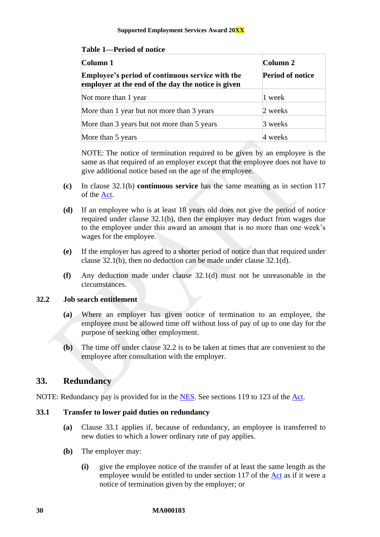#### **Supported Employment Services Award 20XX**

<span id="page-30-1"></span>

| <b>Table 1—Period of notice</b> |  |
|---------------------------------|--|
|                                 |  |

| Column 1                                                                                                      | Column 2                |
|---------------------------------------------------------------------------------------------------------------|-------------------------|
| <b>Employee's period of continuous service with the</b><br>employer at the end of the day the notice is given | <b>Period of notice</b> |
| Not more than 1 year                                                                                          | 1 week                  |
| More than 1 year but not more than 3 years                                                                    | 2 weeks                 |
| More than 3 years but not more than 5 years                                                                   | 3 weeks                 |
| More than 5 years                                                                                             | 4 weeks                 |

NOTE: The notice of termination required to be given by an employee is the same as that required of an employer except that the employee does not have to give additional notice based on the age of the employee.

- **(c)** In clause [32.1\(b\)](#page-29-5) **continuous service** has the same meaning as in section 117 of the [Act.](http://www.legislation.gov.au/Series/C2009A00028)
- <span id="page-30-2"></span>**(d)** If an employee who is at least 18 years old does not give the period of notice required under clause [32.1\(b\),](#page-29-5) then the employer may deduct from wages due to the employee under this award an amount that is no more than one week's wages for the employee.
- **(e)** If the employer has agreed to a shorter period of notice than that required under clause [32.1\(b\),](#page-29-5) then no deduction can be made under clause [32.1\(d\).](#page-30-2)
- **(f)** Any deduction made under clause [32.1\(d\)](#page-30-2) must not be unreasonable in the circumstances.

#### <span id="page-30-3"></span>**32.2 Job search entitlement**

- **(a)** Where an employer has given notice of termination to an employee, the employee must be allowed time off without loss of pay of up to one day for the purpose of seeking other employment.
- **(b)** The time off under clause [32.2](#page-30-3) is to be taken at times that are convenient to the employee after consultation with the employer.

## <span id="page-30-0"></span>**33. Redundancy**

NOTE: Redundancy pay is provided for in the [NES.](https://www.fwc.gov.au/documents/awardmod/download/nes.pdf) See sections 119 to 123 of the [Act.](http://www.legislation.gov.au/Series/C2009A00028)

## <span id="page-30-4"></span>**33.1 Transfer to lower paid duties on redundancy**

- **(a)** Clause [33.1](#page-30-4) applies if, because of redundancy, an employee is transferred to new duties to which a lower ordinary rate of pay applies.
- **(b)** The employer may:
	- **(i)** give the employee notice of the transfer of at least the same length as the employee would be entitled to under section 117 of the [Act](http://www.legislation.gov.au/Series/C2009A00028) as if it were a notice of termination given by the employer; or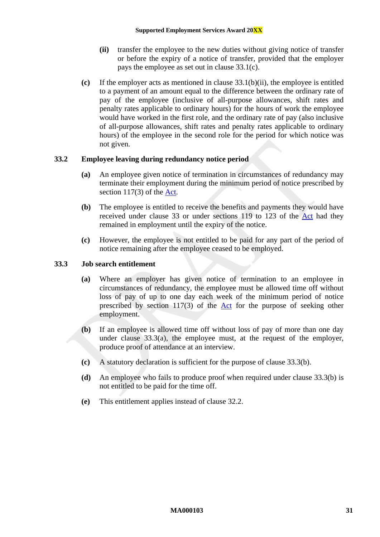- **(ii)** transfer the employee to the new duties without giving notice of transfer or before the expiry of a notice of transfer, provided that the employer pays the employee as set out in clause [33.1\(c\).](#page-31-0)
- <span id="page-31-1"></span><span id="page-31-0"></span>**(c)** If the employer acts as mentioned in clause [33.1\(b\)\(ii\),](#page-31-1) the employee is entitled to a payment of an amount equal to the difference between the ordinary rate of pay of the employee (inclusive of all-purpose allowances, shift rates and penalty rates applicable to ordinary hours) for the hours of work the employee would have worked in the first role, and the ordinary rate of pay (also inclusive of all-purpose allowances, shift rates and penalty rates applicable to ordinary hours) of the employee in the second role for the period for which notice was not given.

#### **33.2 Employee leaving during redundancy notice period**

- **(a)** An employee given notice of termination in circumstances of redundancy may terminate their employment during the minimum period of notice prescribed by section 117(3) of the [Act.](http://www.legislation.gov.au/Series/C2009A00028)
- **(b)** The employee is entitled to receive the benefits and payments they would have received under clause [33](#page-30-0) or under sections 119 to 123 of the [Act](http://www.legislation.gov.au/Series/C2009A00028) had they remained in employment until the expiry of the notice.
- **(c)** However, the employee is not entitled to be paid for any part of the period of notice remaining after the employee ceased to be employed.

#### <span id="page-31-2"></span>**33.3 Job search entitlement**

- **(a)** Where an employer has given notice of termination to an employee in circumstances of redundancy, the employee must be allowed time off without loss of pay of up to one day each week of the minimum period of notice prescribed by section 117(3) of the [Act](http://www.legislation.gov.au/Series/C2009A00028) for the purpose of seeking other employment.
- <span id="page-31-3"></span>**(b)** If an employee is allowed time off without loss of pay of more than one day under clause  $33.3(a)$ , the employee must, at the request of the employer, produce proof of attendance at an interview.
- **(c)** A statutory declaration is sufficient for the purpose of clause [33.3\(b\).](#page-31-3)
- **(d)** An employee who fails to produce proof when required under clause [33.3\(b\)](#page-31-3) is not entitled to be paid for the time off.
- **(e)** This entitlement applies instead of clause [32.2.](#page-30-3)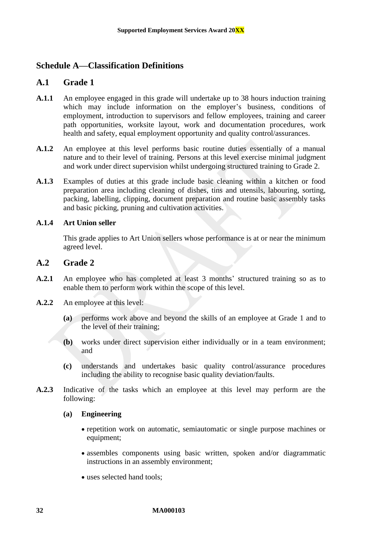## <span id="page-32-1"></span><span id="page-32-0"></span>**Schedule A—Classification Definitions**

## **A.1 Grade 1**

- **A.1.1** An employee engaged in this grade will undertake up to 38 hours induction training which may include information on the employer's business, conditions of employment, introduction to supervisors and fellow employees, training and career path opportunities, worksite layout, work and documentation procedures, work health and safety, equal employment opportunity and quality control/assurances.
- **A.1.2** An employee at this level performs basic routine duties essentially of a manual nature and to their level of training. Persons at this level exercise minimal judgment and work under direct supervision whilst undergoing structured training to Grade 2.
- **A.1.3** Examples of duties at this grade include basic cleaning within a kitchen or food preparation area including cleaning of dishes, tins and utensils, labouring, sorting, packing, labelling, clipping, document preparation and routine basic assembly tasks and basic picking, pruning and cultivation activities.

#### **A.1.4 Art Union seller**

This grade applies to Art Union sellers whose performance is at or near the minimum agreed level.

## **A.2 Grade 2**

- **A.2.1** An employee who has completed at least 3 months' structured training so as to enable them to perform work within the scope of this level.
- **A.2.2** An employee at this level:
	- **(a)** performs work above and beyond the skills of an employee at Grade 1 and to the level of their training;
	- **(b)** works under direct supervision either individually or in a team environment; and
	- **(c)** understands and undertakes basic quality control/assurance procedures including the ability to recognise basic quality deviation/faults.
- **A.2.3** Indicative of the tasks which an employee at this level may perform are the following:

#### **(a) Engineering**

- repetition work on automatic, semiautomatic or single purpose machines or equipment;
- assembles components using basic written, spoken and/or diagrammatic instructions in an assembly environment;
- uses selected hand tools;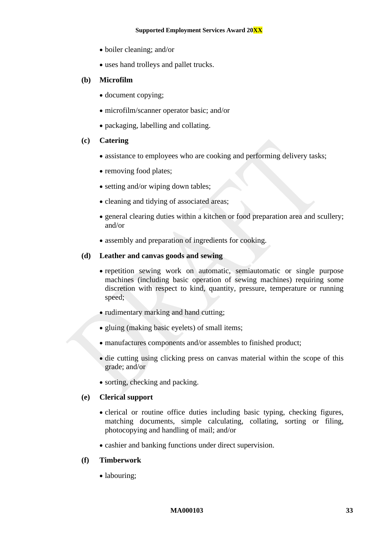- boiler cleaning; and/or
- uses hand trolleys and pallet trucks.

#### **(b) Microfilm**

- document copying;
- microfilm/scanner operator basic; and/or
- packaging, labelling and collating.

#### **(c) Catering**

- assistance to employees who are cooking and performing delivery tasks;
- removing food plates;
- setting and/or wiping down tables;
- cleaning and tidying of associated areas;
- general clearing duties within a kitchen or food preparation area and scullery; and/or
- assembly and preparation of ingredients for cooking.

#### **(d) Leather and canvas goods and sewing**

- repetition sewing work on automatic, semiautomatic or single purpose machines (including basic operation of sewing machines) requiring some discretion with respect to kind, quantity, pressure, temperature or running speed;
- rudimentary marking and hand cutting;
- gluing (making basic eyelets) of small items;
- manufactures components and/or assembles to finished product;
- die cutting using clicking press on canvas material within the scope of this grade; and/or
- sorting, checking and packing.

#### **(e) Clerical support**

- clerical or routine office duties including basic typing, checking figures, matching documents, simple calculating, collating, sorting or filing, photocopying and handling of mail; and/or
- cashier and banking functions under direct supervision.

#### **(f) Timberwork**

• labouring;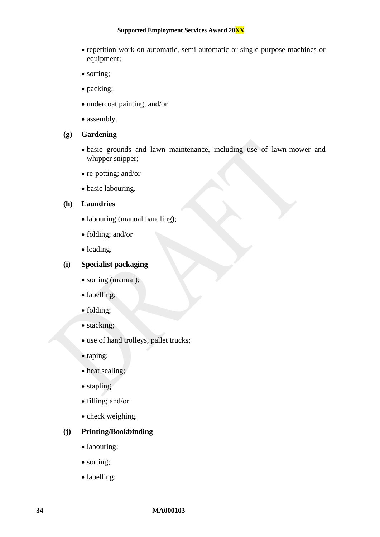#### **Supported Employment Services Award 20XX**

- repetition work on automatic, semi-automatic or single purpose machines or equipment;
- sorting;
- packing;
- undercoat painting; and/or
- assembly.

#### **(g) Gardening**

- basic grounds and lawn maintenance, including use of lawn-mower and whipper snipper;
- re-potting; and/or
- basic labouring.

#### **(h) Laundries**

- labouring (manual handling);
- folding; and/or
- loading.

## **(i) Specialist packaging**

- sorting (manual);
- labelling;
- folding;
- stacking;
- use of hand trolleys, pallet trucks;
- taping;
- heat sealing;
- stapling
- filling; and/or
- check weighing.

## **(j) Printing/Bookbinding**

- labouring;
- sorting;
- labelling;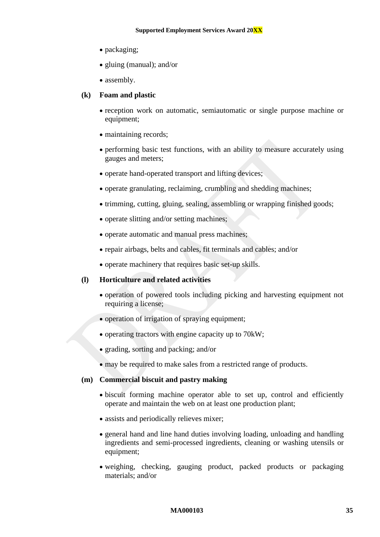- packaging;
- gluing (manual); and/or
- assembly.

#### **(k) Foam and plastic**

- reception work on automatic, semiautomatic or single purpose machine or equipment;
- maintaining records;
- performing basic test functions, with an ability to measure accurately using gauges and meters;
- operate hand-operated transport and lifting devices;
- operate granulating, reclaiming, crumbling and shedding machines;
- trimming, cutting, gluing, sealing, assembling or wrapping finished goods;
- operate slitting and/or setting machines;
- operate automatic and manual press machines;
- repair airbags, belts and cables, fit terminals and cables; and/or
- operate machinery that requires basic set-up skills.

#### **(l) Horticulture and related activities**

- operation of powered tools including picking and harvesting equipment not requiring a license:
- operation of irrigation of spraying equipment;
- operating tractors with engine capacity up to 70kW;
- grading, sorting and packing; and/or
- may be required to make sales from a restricted range of products.

#### **(m) Commercial biscuit and pastry making**

- biscuit forming machine operator able to set up, control and efficiently operate and maintain the web on at least one production plant;
- assists and periodically relieves mixer;
- general hand and line hand duties involving loading, unloading and handling ingredients and semi-processed ingredients, cleaning or washing utensils or equipment;
- weighing, checking, gauging product, packed products or packaging materials; and/or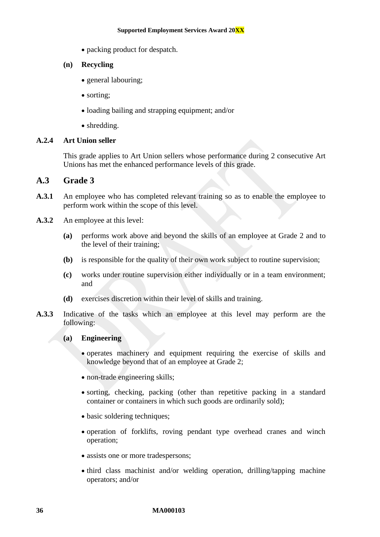- packing product for despatch.
- **(n) Recycling**
	- general labouring;
	- sorting:
	- loading bailing and strapping equipment; and/or
	- shredding.

#### **A.2.4 Art Union seller**

This grade applies to Art Union sellers whose performance during 2 consecutive Art Unions has met the enhanced performance levels of this grade.

### **A.3 Grade 3**

- A.3.1 An employee who has completed relevant training so as to enable the employee to perform work within the scope of this level.
- **A.3.2** An employee at this level:
	- **(a)** performs work above and beyond the skills of an employee at Grade 2 and to the level of their training;
	- **(b)** is responsible for the quality of their own work subject to routine supervision;
	- **(c)** works under routine supervision either individually or in a team environment; and
	- **(d)** exercises discretion within their level of skills and training.
- **A.3.3** Indicative of the tasks which an employee at this level may perform are the following:

#### **(a) Engineering**

- operates machinery and equipment requiring the exercise of skills and knowledge beyond that of an employee at Grade 2;
- non-trade engineering skills;
- sorting, checking, packing (other than repetitive packing in a standard container or containers in which such goods are ordinarily sold);
- basic soldering techniques;
- operation of forklifts, roving pendant type overhead cranes and winch operation;
- assists one or more tradespersons;
- third class machinist and/or welding operation, drilling/tapping machine operators; and/or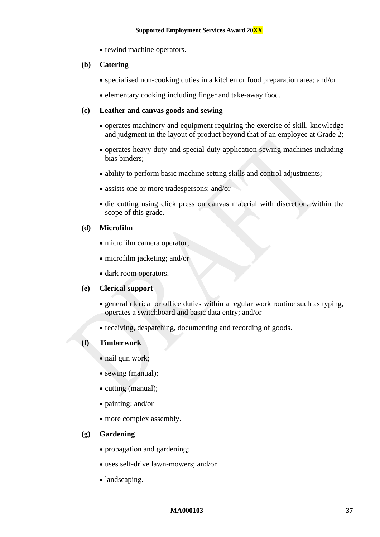• rewind machine operators.

#### **(b) Catering**

- specialised non-cooking duties in a kitchen or food preparation area; and/or
- elementary cooking including finger and take-away food.

#### **(c) Leather and canvas goods and sewing**

- operates machinery and equipment requiring the exercise of skill, knowledge and judgment in the layout of product beyond that of an employee at Grade 2;
- operates heavy duty and special duty application sewing machines including bias binders;
- ability to perform basic machine setting skills and control adjustments;
- assists one or more tradespersons; and/or
- die cutting using click press on canvas material with discretion, within the scope of this grade.

#### **(d) Microfilm**

- microfilm camera operator:
- microfilm jacketing; and/or
- dark room operators.

#### **(e) Clerical support**

- general clerical or office duties within a regular work routine such as typing. operates a switchboard and basic data entry; and/or
- receiving, despatching, documenting and recording of goods.

#### **(f) Timberwork**

- nail gun work;
- sewing (manual);
- cutting (manual);
- painting; and/or
- more complex assembly.

#### **(g) Gardening**

- propagation and gardening;
- uses self-drive lawn-mowers; and/or
- landscaping.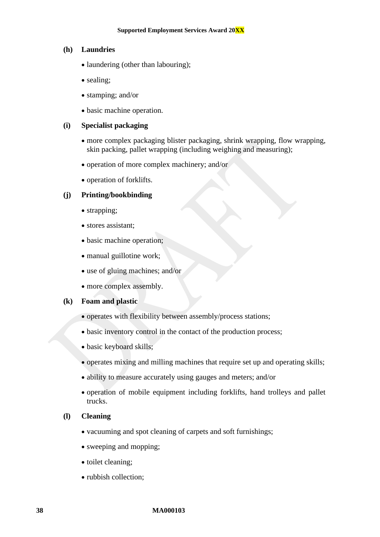#### **(h) Laundries**

- laundering (other than labouring);
- sealing;
- stamping; and/or
- basic machine operation.

#### **(i) Specialist packaging**

- more complex packaging blister packaging, shrink wrapping, flow wrapping, skin packing, pallet wrapping (including weighing and measuring);
- operation of more complex machinery; and/or
- operation of forklifts.

## **(j) Printing/bookbinding**

- strapping;
- stores assistant;
- basic machine operation;
- manual guillotine work;
- use of gluing machines; and/or
- more complex assembly.

#### **(k) Foam and plastic**

- operates with flexibility between assembly/process stations;
- basic inventory control in the contact of the production process;
- basic keyboard skills:
- operates mixing and milling machines that require set up and operating skills;
- ability to measure accurately using gauges and meters; and/or
- operation of mobile equipment including forklifts, hand trolleys and pallet trucks.

#### **(l) Cleaning**

- vacuuming and spot cleaning of carpets and soft furnishings;
- sweeping and mopping;
- toilet cleaning;
- rubbish collection;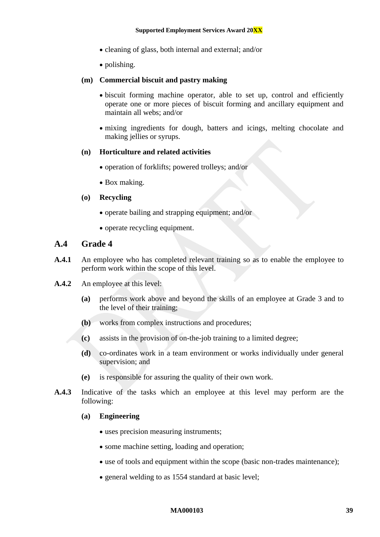- cleaning of glass, both internal and external; and/or
- polishing.

#### **(m) Commercial biscuit and pastry making**

- biscuit forming machine operator, able to set up, control and efficiently operate one or more pieces of biscuit forming and ancillary equipment and maintain all webs; and/or
- mixing ingredients for dough, batters and icings, melting chocolate and making jellies or syrups.

#### **(n) Horticulture and related activities**

- operation of forklifts; powered trolleys; and/or
- Box making.

#### **(o) Recycling**

- operate bailing and strapping equipment; and/or
- operate recycling equipment.

## **A.4 Grade 4**

- **A.4.1** An employee who has completed relevant training so as to enable the employee to perform work within the scope of this level.
- **A.4.2** An employee at this level:
	- **(a)** performs work above and beyond the skills of an employee at Grade 3 and to the level of their training;
	- **(b)** works from complex instructions and procedures;
	- **(c)** assists in the provision of on-the-job training to a limited degree;
	- **(d)** co-ordinates work in a team environment or works individually under general supervision; and
	- **(e)** is responsible for assuring the quality of their own work.
- **A.4.3** Indicative of the tasks which an employee at this level may perform are the following:

#### **(a) Engineering**

- uses precision measuring instruments;
- some machine setting, loading and operation;
- use of tools and equipment within the scope (basic non-trades maintenance);
- general welding to as 1554 standard at basic level;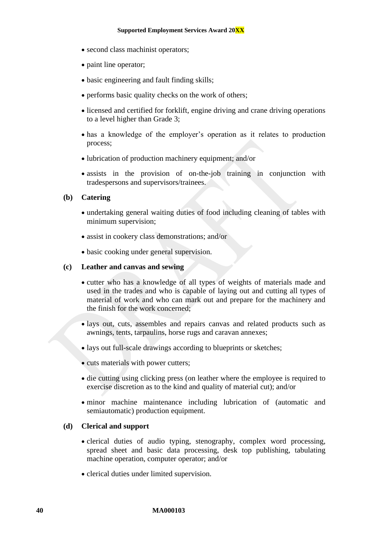- second class machinist operators;
- paint line operator;
- basic engineering and fault finding skills;
- performs basic quality checks on the work of others;
- licensed and certified for forklift, engine driving and crane driving operations to a level higher than Grade 3;
- has a knowledge of the employer's operation as it relates to production process;
- lubrication of production machinery equipment; and/or
- assists in the provision of on-the-job training in conjunction with tradespersons and supervisors/trainees.

#### **(b) Catering**

- undertaking general waiting duties of food including cleaning of tables with minimum supervision;
- assist in cookery class demonstrations; and/or
- basic cooking under general supervision.

#### **(c) Leather and canvas and sewing**

- cutter who has a knowledge of all types of weights of materials made and used in the trades and who is capable of laying out and cutting all types of material of work and who can mark out and prepare for the machinery and the finish for the work concerned;
- lays out, cuts, assembles and repairs canvas and related products such as awnings, tents, tarpaulins, horse rugs and caravan annexes;
- lays out full-scale drawings according to blueprints or sketches:
- cuts materials with power cutters;
- die cutting using clicking press (on leather where the employee is required to exercise discretion as to the kind and quality of material cut); and/or
- minor machine maintenance including lubrication of (automatic and semiautomatic) production equipment.

#### **(d) Clerical and support**

- clerical duties of audio typing, stenography, complex word processing, spread sheet and basic data processing, desk top publishing, tabulating machine operation, computer operator; and/or
- clerical duties under limited supervision.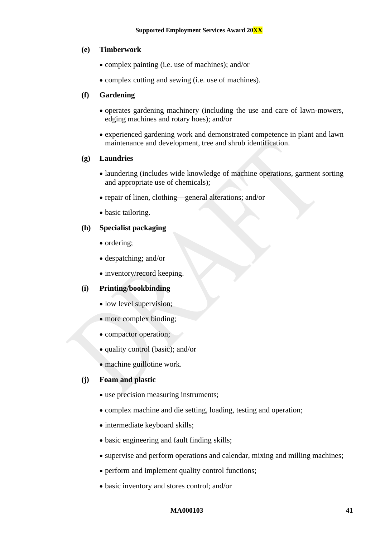#### **(e) Timberwork**

- complex painting (i.e. use of machines); and/or
- complex cutting and sewing (i.e. use of machines).

### **(f) Gardening**

- operates gardening machinery (including the use and care of lawn-mowers, edging machines and rotary hoes); and/or
- experienced gardening work and demonstrated competence in plant and lawn maintenance and development, tree and shrub identification.

#### **(g) Laundries**

- laundering (includes wide knowledge of machine operations, garment sorting and appropriate use of chemicals);
- repair of linen, clothing—general alterations; and/or
- basic tailoring.

### **(h) Specialist packaging**

- ordering:
- despatching; and/or
- inventory/record keeping.

## **(i) Printing/bookbinding**

- low level supervision;
- more complex binding;
- compactor operation;
- quality control (basic); and/or
- machine guillotine work.

## **(j) Foam and plastic**

- use precision measuring instruments;
- complex machine and die setting, loading, testing and operation;
- intermediate keyboard skills;
- basic engineering and fault finding skills;
- supervise and perform operations and calendar, mixing and milling machines;
- perform and implement quality control functions;
- basic inventory and stores control; and/or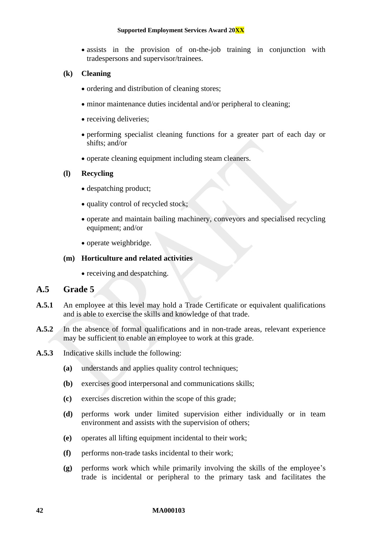• assists in the provision of on-the-job training in conjunction with tradespersons and supervisor/trainees.

#### **(k) Cleaning**

- ordering and distribution of cleaning stores;
- minor maintenance duties incidental and/or peripheral to cleaning;
- receiving deliveries;
- performing specialist cleaning functions for a greater part of each day or shifts; and/or
- operate cleaning equipment including steam cleaners.

#### **(l) Recycling**

- despatching product;
- quality control of recycled stock;
- operate and maintain bailing machinery, conveyors and specialised recycling equipment; and/or
- operate weighbridge.

#### **(m) Horticulture and related activities**

• receiving and despatching.

## **A.5 Grade 5**

- **A.5.1** An employee at this level may hold a Trade Certificate or equivalent qualifications and is able to exercise the skills and knowledge of that trade.
- **A.5.2** In the absence of formal qualifications and in non-trade areas, relevant experience may be sufficient to enable an employee to work at this grade.
- **A.5.3** Indicative skills include the following:
	- **(a)** understands and applies quality control techniques;
	- **(b)** exercises good interpersonal and communications skills;
	- **(c)** exercises discretion within the scope of this grade;
	- **(d)** performs work under limited supervision either individually or in team environment and assists with the supervision of others;
	- **(e)** operates all lifting equipment incidental to their work;
	- **(f)** performs non-trade tasks incidental to their work;
	- **(g)** performs work which while primarily involving the skills of the employee's trade is incidental or peripheral to the primary task and facilitates the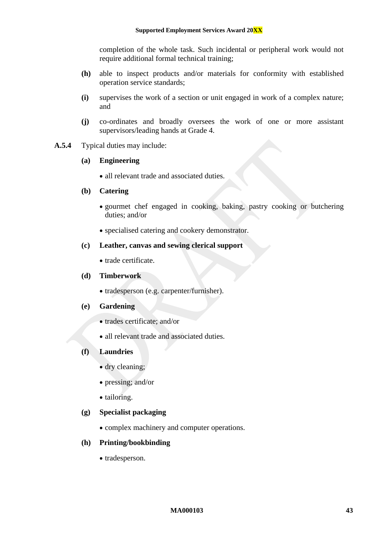completion of the whole task. Such incidental or peripheral work would not require additional formal technical training;

- **(h)** able to inspect products and/or materials for conformity with established operation service standards;
- **(i)** supervises the work of a section or unit engaged in work of a complex nature; and
- **(j)** co-ordinates and broadly oversees the work of one or more assistant supervisors/leading hands at Grade 4.
- **A.5.4** Typical duties may include:

#### **(a) Engineering**

• all relevant trade and associated duties.

#### **(b) Catering**

- gourmet chef engaged in cooking, baking, pastry cooking or butchering duties; and/or
- specialised catering and cookery demonstrator.

#### **(c) Leather, canvas and sewing clerical support**

• trade certificate.

#### **(d) Timberwork**

- tradesperson (e.g. carpenter/furnisher).
- **(e) Gardening**
	- trades certificate: and/or
	- all relevant trade and associated duties.

#### **(f) Laundries**

- dry cleaning:
- pressing; and/or
- tailoring.

#### **(g) Specialist packaging**

• complex machinery and computer operations.

#### **(h) Printing/bookbinding**

• tradesperson.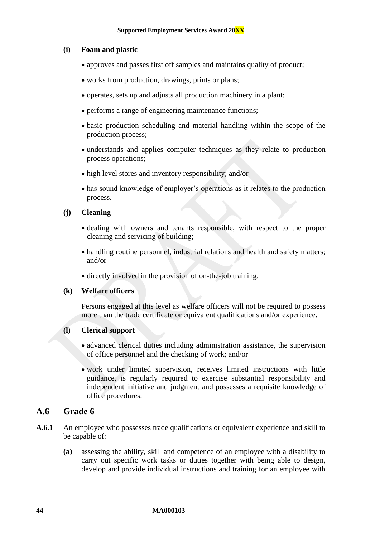#### **(i) Foam and plastic**

- approves and passes first off samples and maintains quality of product;
- works from production, drawings, prints or plans;
- operates, sets up and adjusts all production machinery in a plant;
- performs a range of engineering maintenance functions;
- basic production scheduling and material handling within the scope of the production process;
- understands and applies computer techniques as they relate to production process operations;
- high level stores and inventory responsibility; and/or
- has sound knowledge of employer's operations as it relates to the production process.

#### **(j) Cleaning**

- dealing with owners and tenants responsible, with respect to the proper cleaning and servicing of building;
- handling routine personnel, industrial relations and health and safety matters; and/or
- directly involved in the provision of on-the-job training.

#### **(k) Welfare officers**

Persons engaged at this level as welfare officers will not be required to possess more than the trade certificate or equivalent qualifications and/or experience.

#### **(l) Clerical support**

- advanced clerical duties including administration assistance, the supervision of office personnel and the checking of work; and/or
- work under limited supervision, receives limited instructions with little guidance, is regularly required to exercise substantial responsibility and independent initiative and judgment and possesses a requisite knowledge of office procedures.

## **A.6 Grade 6**

- **A.6.1** An employee who possesses trade qualifications or equivalent experience and skill to be capable of:
	- **(a)** assessing the ability, skill and competence of an employee with a disability to carry out specific work tasks or duties together with being able to design, develop and provide individual instructions and training for an employee with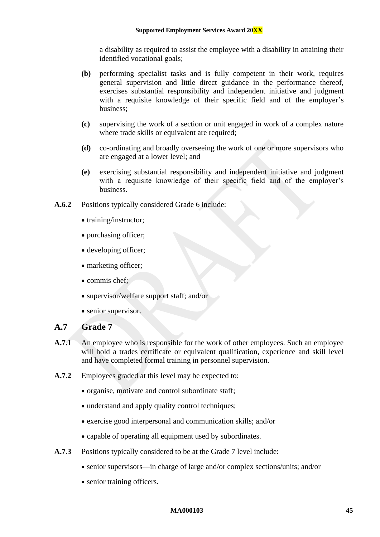a disability as required to assist the employee with a disability in attaining their identified vocational goals;

- **(b)** performing specialist tasks and is fully competent in their work, requires general supervision and little direct guidance in the performance thereof, exercises substantial responsibility and independent initiative and judgment with a requisite knowledge of their specific field and of the employer's business;
- **(c)** supervising the work of a section or unit engaged in work of a complex nature where trade skills or equivalent are required;
- **(d)** co-ordinating and broadly overseeing the work of one or more supervisors who are engaged at a lower level; and
- **(e)** exercising substantial responsibility and independent initiative and judgment with a requisite knowledge of their specific field and of the employer's business.
- **A.6.2** Positions typically considered Grade 6 include:
	- training/instructor;
	- purchasing officer;
	- developing officer;
	- marketing officer:
	- commis chef;
	- supervisor/welfare support staff; and/or
	- senior supervisor.

## **A.7 Grade 7**

- **A.7.1** An employee who is responsible for the work of other employees. Such an employee will hold a trades certificate or equivalent qualification, experience and skill level and have completed formal training in personnel supervision.
- **A.7.2** Employees graded at this level may be expected to:
	- organise, motivate and control subordinate staff;
	- understand and apply quality control techniques;
	- exercise good interpersonal and communication skills; and/or
	- capable of operating all equipment used by subordinates.
- **A.7.3** Positions typically considered to be at the Grade 7 level include:
	- senior supervisors—in charge of large and/or complex sections/units; and/or
	- senior training officers.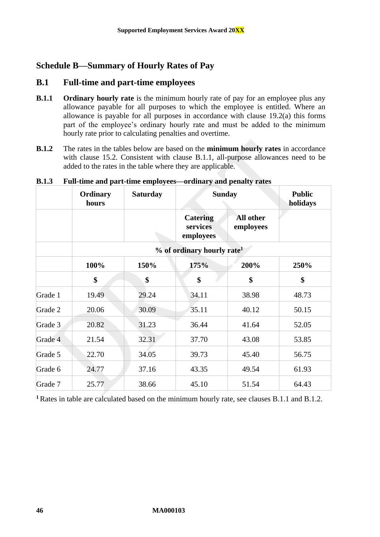## <span id="page-46-0"></span>**Schedule B—Summary of Hourly Rates of Pay**

## **B.1 Full-time and part-time employees**

- <span id="page-46-1"></span>**B.1.1 Ordinary hourly rate** is the minimum hourly rate of pay for an employee plus any allowance payable for all purposes to which the employee is entitled. Where an allowance is payable for all purposes in accordance with clause [19.2\(a\)](#page-17-3) this forms part of the employee's ordinary hourly rate and must be added to the minimum hourly rate prior to calculating penalties and overtime.
- <span id="page-46-2"></span>**B.1.2** The rates in the tables below are based on the **minimum hourly rates** in accordance with clause [15.2.](#page-13-2) Consistent with clause [B.1.1,](#page-46-1) all-purpose allowances need to be added to the rates in the table where they are applicable.

|         | Ordinary<br>hours | <b>Saturday</b> |                                          | <b>Sunday</b>          | <b>Public</b><br>holidays |
|---------|-------------------|-----------------|------------------------------------------|------------------------|---------------------------|
|         |                   |                 | <b>Catering</b><br>services<br>employees | All other<br>employees |                           |
|         |                   |                 | % of ordinary hourly rate <sup>1</sup>   |                        |                           |
|         | 100%              | 150%            | 175%                                     | 200%                   | 250%                      |
|         | \$                | \$              | \$                                       | \$                     | \$                        |
| Grade 1 | 19.49             | 29.24           | 34.11                                    | 38.98                  | 48.73                     |
| Grade 2 | 20.06             | 30.09           | 35.11                                    | 40.12                  | 50.15                     |
| Grade 3 | 20.82             | 31.23           | 36.44                                    | 41.64                  | 52.05                     |
| Grade 4 | 21.54             | 32.31           | 37.70                                    | 43.08                  | 53.85                     |
| Grade 5 | 22.70             | 34.05           | 39.73                                    | 45.40                  | 56.75                     |
| Grade 6 | 24.77             | 37.16           | 43.35                                    | 49.54                  | 61.93                     |
| Grade 7 | 25.77             | 38.66           | 45.10                                    | 51.54                  | 64.43                     |

#### **B.1.3 Full-time and part-time employees—ordinary and penalty rates**

**<sup>1</sup>** Rates in table are calculated based on the minimum hourly rate, see clauses [B.1.1](#page-46-1) and [B.1.2.](#page-46-2)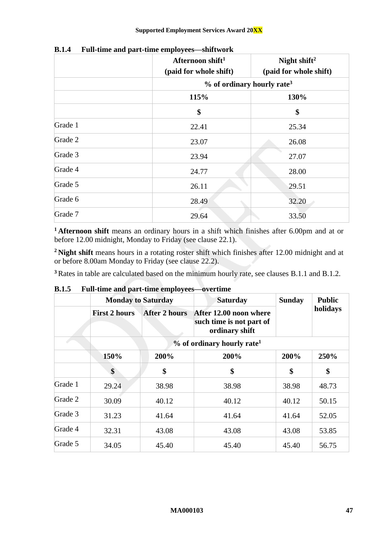|         | Afternoon shift <sup>1</sup><br>(paid for whole shift) | Night shift <sup>2</sup><br>(paid for whole shift) |  |  |  |
|---------|--------------------------------------------------------|----------------------------------------------------|--|--|--|
|         |                                                        | $%$ of ordinary hourly rate <sup>3</sup>           |  |  |  |
|         | 115%                                                   | 130%                                               |  |  |  |
|         | \$                                                     | \$                                                 |  |  |  |
| Grade 1 | 22.41                                                  | 25.34                                              |  |  |  |
| Grade 2 | 23.07                                                  | 26.08                                              |  |  |  |
| Grade 3 | 23.94                                                  | 27.07                                              |  |  |  |
| Grade 4 | 24.77                                                  | 28.00                                              |  |  |  |
| Grade 5 | 26.11                                                  | 29.51                                              |  |  |  |
| Grade 6 | 28.49                                                  | 32.20                                              |  |  |  |
| Grade 7 | 29.64                                                  | 33.50                                              |  |  |  |

**B.1.4 Full-time and part-time employees—shiftwork**

**<sup>1</sup> Afternoon shift** means an ordinary hours in a shift which finishes after 6.00pm and at or before 12.00 midnight, Monday to Friday (see clause [22.1\)](#page-21-2).

**<sup>2</sup> Night shift** means hours in a rotating roster shift which finishes after 12.00 midnight and at or before 8.00am Monday to Friday (see clause [22.2\)](#page-22-4).

**<sup>3</sup>** Rates in table are calculated based on the minimum hourly rate, see clauses [B.1.1](#page-46-1) and [B.1.2.](#page-46-2)

|         | <b>Monday to Saturday</b>              |                      | <b>Saturday</b>                                                      | <b>Sunday</b> | <b>Public</b> |  |  |
|---------|----------------------------------------|----------------------|----------------------------------------------------------------------|---------------|---------------|--|--|
|         | <b>First 2 hours</b>                   | <b>After 2 hours</b> | After 12.00 noon where<br>such time is not part of<br>ordinary shift |               | holidays      |  |  |
|         | % of ordinary hourly rate <sup>1</sup> |                      |                                                                      |               |               |  |  |
|         | 150%                                   | 200%                 | 200%                                                                 | 200%          | 250%          |  |  |
|         | \$                                     | \$                   | \$                                                                   | \$            | \$            |  |  |
| Grade 1 | 29.24                                  | 38.98                | 38.98                                                                | 38.98         | 48.73         |  |  |
| Grade 2 | 30.09                                  | 40.12                | 40.12                                                                | 40.12         | 50.15         |  |  |
| Grade 3 | 31.23                                  | 41.64                | 41.64                                                                | 41.64         | 52.05         |  |  |
| Grade 4 | 32.31                                  | 43.08                | 43.08                                                                | 43.08         | 53.85         |  |  |
| Grade 5 | 34.05                                  | 45.40                | 45.40                                                                | 45.40         | 56.75         |  |  |

**B.1.5 Full-time and part-time employees—overtime**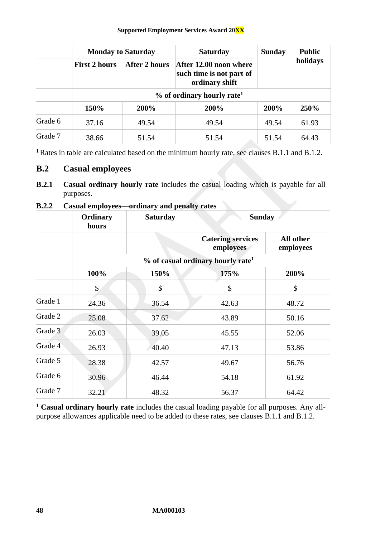|         | <b>Monday to Saturday</b> |                                        | <b>Saturday</b>                                                      | <b>Sunday</b> | <b>Public</b> |  |
|---------|---------------------------|----------------------------------------|----------------------------------------------------------------------|---------------|---------------|--|
|         | <b>First 2 hours</b>      | After 2 hours                          | After 12.00 noon where<br>such time is not part of<br>ordinary shift |               | holidays      |  |
|         |                           | % of ordinary hourly rate <sup>1</sup> |                                                                      |               |               |  |
|         | 150%                      | 200%                                   | 200%                                                                 | 200%          | 250%          |  |
| Grade 6 | 37.16                     | 49.54                                  | 49.54                                                                | 49.54         | 61.93         |  |
| Grade 7 | 38.66                     | 51.54                                  | 51.54                                                                | 51.54         | 64.43         |  |

**<sup>1</sup>** Rates in table are calculated based on the minimum hourly rate, see clauses [B.1.1](#page-46-1) and [B.1.2.](#page-46-2)

## **B.2 Casual employees**

**B.2.1 Casual ordinary hourly rate** includes the casual loading which is payable for all purposes.

## **B.2.2 Casual employees—ordinary and penalty rates**

|         | Ordinary<br>hours                             | <b>Saturday</b> | <b>Sunday</b>                         |                        |  |
|---------|-----------------------------------------------|-----------------|---------------------------------------|------------------------|--|
|         |                                               |                 | <b>Catering services</b><br>employees | All other<br>employees |  |
|         | % of casual ordinary hourly rate <sup>1</sup> |                 |                                       |                        |  |
|         | 100%                                          | 150%            | 175%                                  | 200%                   |  |
|         | \$                                            | \$              | \$                                    | \$                     |  |
| Grade 1 | 24.36                                         | 36.54           | 42.63                                 | 48.72                  |  |
| Grade 2 | 25.08                                         | 37.62           | 43.89                                 | 50.16                  |  |
| Grade 3 | 26.03                                         | 39.05           | 45.55                                 | 52.06                  |  |
| Grade 4 | 26.93                                         | 40.40           | 47.13                                 | 53.86                  |  |
| Grade 5 | 28.38                                         | 42.57           | 49.67                                 | 56.76                  |  |
| Grade 6 | 30.96                                         | 46.44           | 54.18                                 | 61.92                  |  |
| Grade 7 | 32.21                                         | 48.32           | 56.37                                 | 64.42                  |  |

**<sup>1</sup> Casual ordinary hourly rate** includes the casual loading payable for all purposes. Any allpurpose allowances applicable need to be added to these rates, see clauses [B.1.1](#page-46-1) and [B.1.2.](#page-46-2)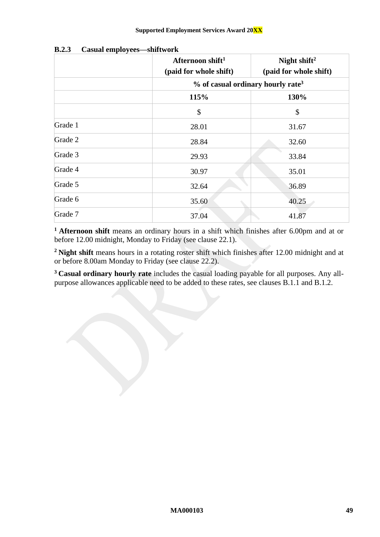|         | Afternoon shift <sup>1</sup><br>(paid for whole shift) | Night shift <sup>2</sup><br>(paid for whole shift) |  |  |
|---------|--------------------------------------------------------|----------------------------------------------------|--|--|
|         |                                                        | $%$ of casual ordinary hourly rate <sup>3</sup>    |  |  |
|         | 115%                                                   | 130%                                               |  |  |
|         | $\boldsymbol{\mathsf{S}}$                              | \$                                                 |  |  |
| Grade 1 | 28.01                                                  | 31.67                                              |  |  |
| Grade 2 | 28.84                                                  | 32.60                                              |  |  |
| Grade 3 | 29.93                                                  | 33.84                                              |  |  |
| Grade 4 | 30.97                                                  | 35.01                                              |  |  |
| Grade 5 | 32.64                                                  | 36.89                                              |  |  |
| Grade 6 | 35.60                                                  | 40.25                                              |  |  |
| Grade 7 | 37.04                                                  | 41.87                                              |  |  |

**B.2.3 Casual employees—shiftwork**

**<sup>1</sup> Afternoon shift** means an ordinary hours in a shift which finishes after 6.00pm and at or before 12.00 midnight, Monday to Friday (see clause [22.1\)](#page-21-2).

**<sup>2</sup> Night shift** means hours in a rotating roster shift which finishes after 12.00 midnight and at or before 8.00am Monday to Friday (see clause [22.2\)](#page-22-4).

**<sup>3</sup> Casual ordinary hourly rate** includes the casual loading payable for all purposes. Any allpurpose allowances applicable need to be added to these rates, see clauses [B.1.1](#page-46-1) and [B.1.2.](#page-46-2)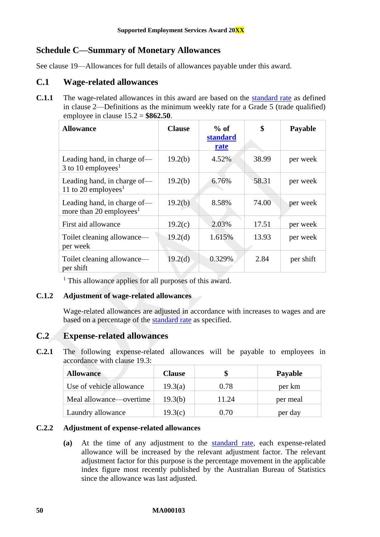## <span id="page-50-0"></span>**Schedule C—Summary of Monetary Allowances**

See clause [19—Allowances](#page-17-0) for full details of allowances payable under this award.

## **C.1 Wage-related allowances**

**C.1.1** The wage-related allowances in this award are based on the [standard rate](#page-4-4) as defined in clause [2—Definitions](#page-3-2) as the minimum weekly rate for a Grade 5 (trade qualified) employee in clause [15.2](#page-13-2) = **\$862.50**.

| <b>Allowance</b>                                                   | <b>Clause</b>       | $%$ of<br>standard<br>rate | \$    | Payable   |
|--------------------------------------------------------------------|---------------------|----------------------------|-------|-----------|
| Leading hand, in charge of-<br>3 to 10 employees <sup>1</sup>      | 19.2(b)             | 4.52%                      | 38.99 | per week  |
| Leading hand, in charge of-<br>11 to 20 employees <sup>1</sup>     | 19.2(b)             | 6.76%                      | 58.31 | per week  |
| Leading hand, in charge of-<br>more than 20 employees <sup>1</sup> | 19.2(b)             | 8.58%                      | 74.00 | per week  |
| First aid allowance                                                | 19.2(c)             | 2.03%                      | 17.51 | per week  |
| Toilet cleaning allowance—<br>per week                             | 19.2 <sub>(d)</sub> | 1.615%                     | 13.93 | per week  |
| Toilet cleaning allowance—<br>per shift                            | 19.2 <sub>(d)</sub> | 0.329%                     | 2.84  | per shift |

<sup>1</sup> This allowance applies for all purposes of this award.

## **C.1.2 Adjustment of wage-related allowances**

Wage-related allowances are adjusted in accordance with increases to wages and are based on a percentage of the [standard rate](#page-4-4) as specified.

## **C.2 Expense-related allowances**

**C.2.1** The following expense-related allowances will be payable to employees in accordance with clause  $19.3$ 

| <b>Allowance</b>         | <b>Clause</b> |       | <b>Payable</b> |
|--------------------------|---------------|-------|----------------|
| Use of vehicle allowance | 19.3(a)       | 0.78  | per km         |
| Meal allowance—overtime  | 19.3(b)       | 11.24 | per meal       |
| Laundry allowance        | 19.3(c)       | 0.70  | per day        |

#### **C.2.2 Adjustment of expense-related allowances**

**(a)** At the time of any adjustment to the [standard rate,](#page-4-4) each expense-related allowance will be increased by the relevant adjustment factor. The relevant adjustment factor for this purpose is the percentage movement in the applicable index figure most recently published by the Australian Bureau of Statistics since the allowance was last adjusted.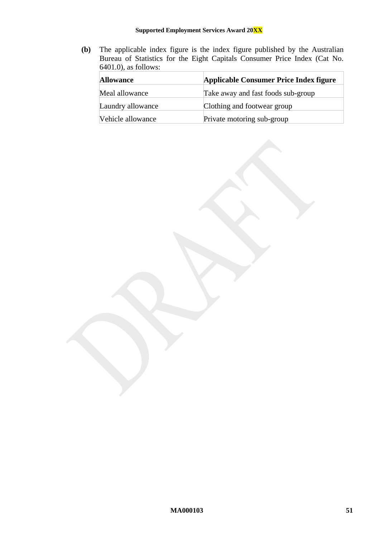#### **Supported Employment Services Award 20XX**

**(b)** The applicable index figure is the index figure published by the Australian Bureau of Statistics for the Eight Capitals Consumer Price Index (Cat No. 6401.0), as follows:

| <b>Allowance</b>  | Applicable Consumer Price Index figure |
|-------------------|----------------------------------------|
| Meal allowance    | Take away and fast foods sub-group     |
| Laundry allowance | Clothing and footwear group            |
| Vehicle allowance | Private motoring sub-group             |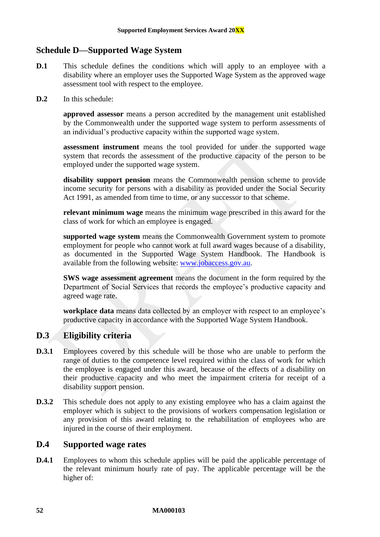## <span id="page-52-0"></span>**Schedule D—Supported Wage System**

- **D.1** This schedule defines the conditions which will apply to an employee with a disability where an employer uses the Supported Wage System as the approved wage assessment tool with respect to the employee.
- **D.2** In this schedule:

**approved assessor** means a person accredited by the management unit established by the Commonwealth under the supported wage system to perform assessments of an individual's productive capacity within the supported wage system.

**assessment instrument** means the tool provided for under the supported wage system that records the assessment of the productive capacity of the person to be employed under the supported wage system.

**disability support pension** means the Commonwealth pension scheme to provide income security for persons with a disability as provided under the Social Security Act 1991, as amended from time to time, or any successor to that scheme.

**relevant minimum wage** means the minimum wage prescribed in this award for the class of work for which an employee is engaged.

**supported wage system** means the Commonwealth Government system to promote employment for people who cannot work at full award wages because of a disability, as documented in the Supported Wage System Handbook. The Handbook is available from the following website: [www.jobaccess.gov.au.](http://www.jobaccess.gov.au/)

**SWS wage assessment agreement** means the document in the form required by the Department of Social Services that records the employee's productive capacity and agreed wage rate.

**workplace data** means data collected by an employer with respect to an employee's productive capacity in accordance with the Supported Wage System Handbook.

## **D.3 Eligibility criteria**

- **D.3.1** Employees covered by this schedule will be those who are unable to perform the range of duties to the competence level required within the class of work for which the employee is engaged under this award, because of the effects of a disability on their productive capacity and who meet the impairment criteria for receipt of a disability support pension.
- **D.3.2** This schedule does not apply to any existing employee who has a claim against the employer which is subject to the provisions of workers compensation legislation or any provision of this award relating to the rehabilitation of employees who are injured in the course of their employment.

## <span id="page-52-1"></span>**D.4 Supported wage rates**

<span id="page-52-2"></span>**D.4.1** Employees to whom this schedule applies will be paid the applicable percentage of the relevant minimum hourly rate of pay. The applicable percentage will be the higher of: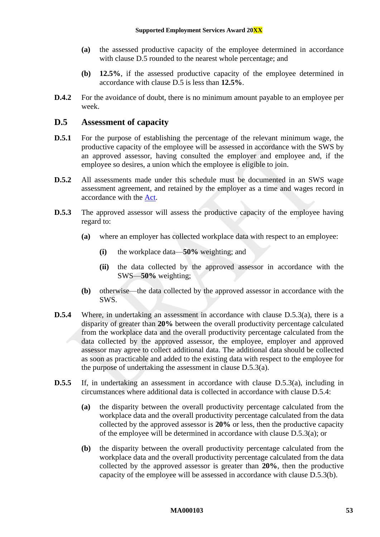- **(a)** the assessed productive capacity of the employee determined in accordance with clause [D.5](#page-53-0) rounded to the nearest whole percentage; and
- **(b) 12.5%**, if the assessed productive capacity of the employee determined in accordance with clause [D.5](#page-53-0) is less than **12.5%**.
- **D.4.2** For the avoidance of doubt, there is no minimum amount payable to an employee per week.

## <span id="page-53-0"></span>**D.5 Assessment of capacity**

- **D.5.1** For the purpose of establishing the percentage of the relevant minimum wage, the productive capacity of the employee will be assessed in accordance with the SWS by an approved assessor, having consulted the employer and employee and, if the employee so desires, a union which the employee is eligible to join.
- **D.5.2** All assessments made under this schedule must be documented in an SWS wage assessment agreement, and retained by the employer as a time and wages record in accordance with the [Act.](http://www.legislation.gov.au/Series/C2009A00028)
- <span id="page-53-1"></span>**D.5.3** The approved assessor will assess the productive capacity of the employee having regard to:
	- **(a)** where an employer has collected workplace data with respect to an employee:
		- **(i)** the workplace data—**50%** weighting; and
		- **(ii)** the data collected by the approved assessor in accordance with the SWS—**50%** weighting;
	- **(b)** otherwise—the data collected by the approved assessor in accordance with the SWS.
- <span id="page-53-3"></span><span id="page-53-2"></span>**D.5.4** Where, in undertaking an assessment in accordance with clause [D.5.3\(a\),](#page-53-1) there is a disparity of greater than **20%** between the overall productivity percentage calculated from the workplace data and the overall productivity percentage calculated from the data collected by the approved assessor, the employee, employer and approved assessor may agree to collect additional data. The additional data should be collected as soon as practicable and added to the existing data with respect to the employee for the purpose of undertaking the assessment in clause [D.5.3\(a\).](#page-53-1)
- **D.5.5** If, in undertaking an assessment in accordance with clause [D.5.3\(a\),](#page-53-1) including in circumstances where additional data is collected in accordance with clause [D.5.4:](#page-53-2)
	- **(a)** the disparity between the overall productivity percentage calculated from the workplace data and the overall productivity percentage calculated from the data collected by the approved assessor is **20%** or less, then the productive capacity of the employee will be determined in accordance with clause [D.5.3\(a\);](#page-53-1) or
	- **(b)** the disparity between the overall productivity percentage calculated from the workplace data and the overall productivity percentage calculated from the data collected by the approved assessor is greater than **20%**, then the productive capacity of the employee will be assessed in accordance with clause [D.5.3\(b\).](#page-53-3)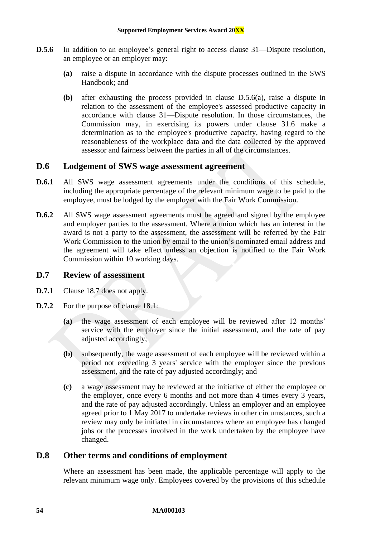- <span id="page-54-0"></span>**D.5.6** In addition to an employee's general right to access clause [31—Dispute resolution,](#page-28-1) an employee or an employer may:
	- **(a)** raise a dispute in accordance with the dispute processes outlined in the SWS Handbook; and
	- **(b)** after exhausting the process provided in clause [D.5.6\(a\),](#page-54-0) raise a dispute in relation to the assessment of the employee's assessed productive capacity in accordance with clause [31—Dispute resolution.](#page-28-1) In those circumstances, the Commission may, in exercising its powers under clause [31.6](#page-29-6) make a determination as to the employee's productive capacity, having regard to the reasonableness of the workplace data and the data collected by the approved assessor and fairness between the parties in all of the circumstances.

## **D.6 Lodgement of SWS wage assessment agreement**

- **D.6.1** All SWS wage assessment agreements under the conditions of this schedule, including the appropriate percentage of the relevant minimum wage to be paid to the employee, must be lodged by the employer with the Fair Work Commission.
- **D.6.2** All SWS wage assessment agreements must be agreed and signed by the employee and employer parties to the assessment. Where a union which has an interest in the award is not a party to the assessment, the assessment will be referred by the Fair Work Commission to the union by email to the union's nominated email address and the agreement will take effect unless an objection is notified to the Fair Work Commission within 10 working days.

#### **D.7 Review of assessment**

- **D.7.1** Clause [18.7](#page-16-1) does not apply.
- **D.7.2** For the purpose of clause [18.1:](#page-15-5)
	- **(a)** the wage assessment of each employee will be reviewed after 12 months' service with the employer since the initial assessment, and the rate of pay adjusted accordingly;
	- **(b)** subsequently, the wage assessment of each employee will be reviewed within a period not exceeding 3 years' service with the employer since the previous assessment, and the rate of pay adjusted accordingly; and
	- **(c)** a wage assessment may be reviewed at the initiative of either the employee or the employer, once every 6 months and not more than 4 times every 3 years, and the rate of pay adjusted accordingly. Unless an employer and an employee agreed prior to 1 May 2017 to undertake reviews in other circumstances, such a review may only be initiated in circumstances where an employee has changed jobs or the processes involved in the work undertaken by the employee have changed.

## **D.8 Other terms and conditions of employment**

Where an assessment has been made, the applicable percentage will apply to the relevant minimum wage only. Employees covered by the provisions of this schedule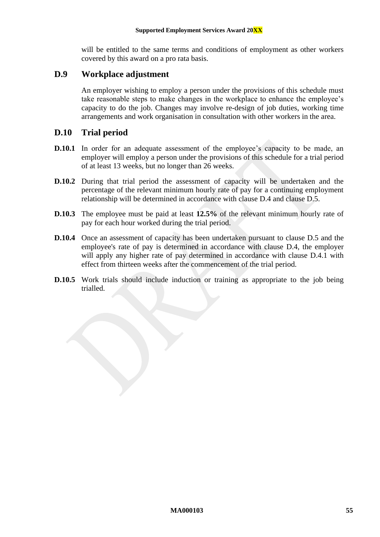will be entitled to the same terms and conditions of employment as other workers covered by this award on a pro rata basis.

## **D.9 Workplace adjustment**

An employer wishing to employ a person under the provisions of this schedule must take reasonable steps to make changes in the workplace to enhance the employee's capacity to do the job. Changes may involve re-design of job duties, working time arrangements and work organisation in consultation with other workers in the area.

## **D.10 Trial period**

- **D.10.1** In order for an adequate assessment of the employee's capacity to be made, an employer will employ a person under the provisions of this schedule for a trial period of at least 13 weeks, but no longer than 26 weeks.
- **D.10.2** During that trial period the assessment of capacity will be undertaken and the percentage of the relevant minimum hourly rate of pay for a continuing employment relationship will be determined in accordance with clause [D.4](#page-52-1) and clause [D.5.](#page-53-0)
- **D.10.3** The employee must be paid at least 12.5% of the relevant minimum hourly rate of pay for each hour worked during the trial period.
- **D.10.4** Once an assessment of capacity has been undertaken pursuant to clause [D.5](#page-53-0) and the employee's rate of pay is determined in accordance with clause [D.4,](#page-52-1) the employer will apply any higher rate of pay determined in accordance with clause [D.4.1](#page-52-2) with effect from thirteen weeks after the commencement of the trial period.
- **D.10.5** Work trials should include induction or training as appropriate to the job being trialled.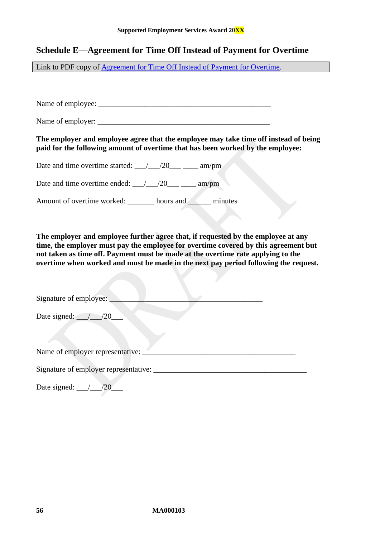## <span id="page-56-0"></span>**Schedule E—Agreement for Time Off Instead of Payment for Overtime**

Link to PDF copy of [Agreement for Time Off Instead of Payment for Overtime.](http://www.fwc.gov.au/documents/documents/modern_awards/toil-agreement.pdf)

Name of employee: \_\_\_\_\_\_\_\_\_\_\_\_\_\_\_\_\_\_\_\_\_\_\_\_\_\_\_\_\_\_\_\_\_\_\_\_\_\_\_\_\_\_\_\_\_

Name of employer: \_\_\_\_\_\_\_\_\_\_\_\_\_\_\_\_\_\_\_\_\_\_\_\_\_\_\_\_\_\_\_\_\_\_\_\_\_\_\_\_\_\_\_\_\_

#### **The employer and employee agree that the employee may take time off instead of being paid for the following amount of overtime that has been worked by the employee:**

Date and time overtime started:  $\frac{\sqrt{20}}{\sqrt{20}}$  am/pm

Date and time overtime ended:  $\frac{1}{20}$  /20\_\_\_ \_\_\_\_ am/pm

Amount of overtime worked: hours and hours and hours and  $\sim$ 

**The employer and employee further agree that, if requested by the employee at any time, the employer must pay the employee for overtime covered by this agreement but not taken as time off. Payment must be made at the overtime rate applying to the overtime when worked and must be made in the next pay period following the request.**

| Signature of employee:                |  |
|---------------------------------------|--|
| Date signed: $\angle$ /20             |  |
|                                       |  |
| Name of employer representative:      |  |
| Signature of employer representative: |  |
| Date signed:                          |  |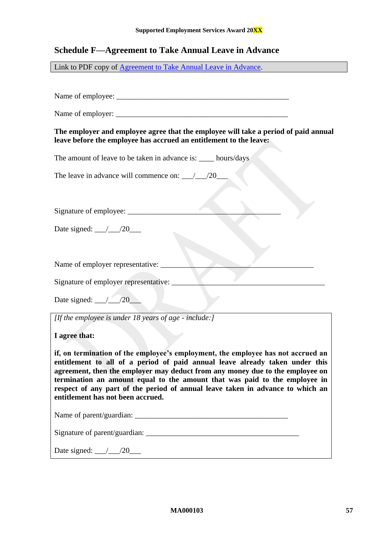## <span id="page-57-0"></span>**Schedule F—Agreement to Take Annual Leave in Advance**

Link to PDF copy of [Agreement to Take Annual Leave in Advance.](http://www.fwc.gov.au/documents/documents/modern_awards/leave-in-advance-agreement.pdf)

Name of employee:

Name of employer: \_\_\_\_\_\_\_\_\_\_\_\_\_\_\_\_\_\_\_\_\_\_\_\_\_\_\_\_\_\_\_\_\_\_\_\_\_\_\_\_\_\_\_\_\_

**The employer and employee agree that the employee will take a period of paid annual leave before the employee has accrued an entitlement to the leave:**

The amount of leave to be taken in advance is: \_\_\_\_\_ hours/days

The leave in advance will commence on:  $\frac{1}{20}$ 

Signature of employee: \_\_\_\_\_\_\_\_\_\_\_\_\_\_\_\_\_\_\_\_\_\_\_\_\_\_\_\_\_\_\_\_\_\_\_\_\_\_\_\_

Date signed:  $\frac{\ }{\ }$  /20

Name of employer representative:

Signature of employer representative:

Date signed: \_\_\_/\_\_\_/20\_\_\_

*[If the employee is under 18 years of age - include:]*

**I agree that:**

**if, on termination of the employee's employment, the employee has not accrued an entitlement to all of a period of paid annual leave already taken under this agreement, then the employer may deduct from any money due to the employee on termination an amount equal to the amount that was paid to the employee in respect of any part of the period of annual leave taken in advance to which an entitlement has not been accrued.**

Name of parent/guardian:

Signature of parent/guardian:

Date signed:  $\angle 20$   $\angle$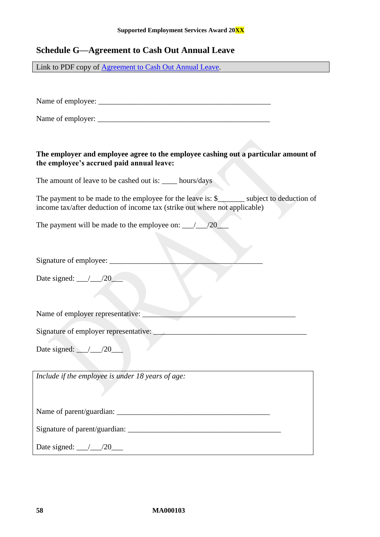## <span id="page-58-0"></span>**Schedule G—Agreement to Cash Out Annual Leave**

Link to PDF copy of [Agreement to Cash Out Annual Leave.](http://www.fwc.gov.au/documents/documents/modern_awards/cash-out-agreement.pdf)

Name of employee: \_\_\_\_\_\_\_\_\_\_\_\_\_\_\_\_\_\_\_\_\_\_\_\_\_\_\_\_\_\_\_\_\_\_\_\_\_\_\_\_\_\_\_\_\_

Name of employer: \_\_\_\_\_\_\_\_\_\_\_\_\_\_\_\_\_\_\_\_\_\_\_\_\_\_\_\_\_\_\_\_\_\_\_\_\_\_\_\_\_\_\_\_\_

#### **The employer and employee agree to the employee cashing out a particular amount of the employee's accrued paid annual leave:**

The amount of leave to be cashed out is: hours/days

The payment to be made to the employee for the leave is: \$\_\_\_\_\_\_\_\_ subject to deduction of income tax/after deduction of income tax (strike out where not applicable)

The payment will be made to the employee on:  $\frac{1}{20}$ 

Signature of employee:

Date signed:  $\frac{1}{20}$ 

Name of employer representative:

Signature of employer representative:

Date signed:  $\angle$  /20

*Include if the employee is under 18 years of age:*

Name of parent/guardian: \_\_\_\_\_\_\_\_\_\_\_\_\_\_\_\_\_\_\_\_\_\_\_\_\_\_\_\_\_\_\_\_\_\_\_\_\_\_\_\_

Signature of parent/guardian:

Date signed: \_\_\_/\_\_\_/20\_\_\_